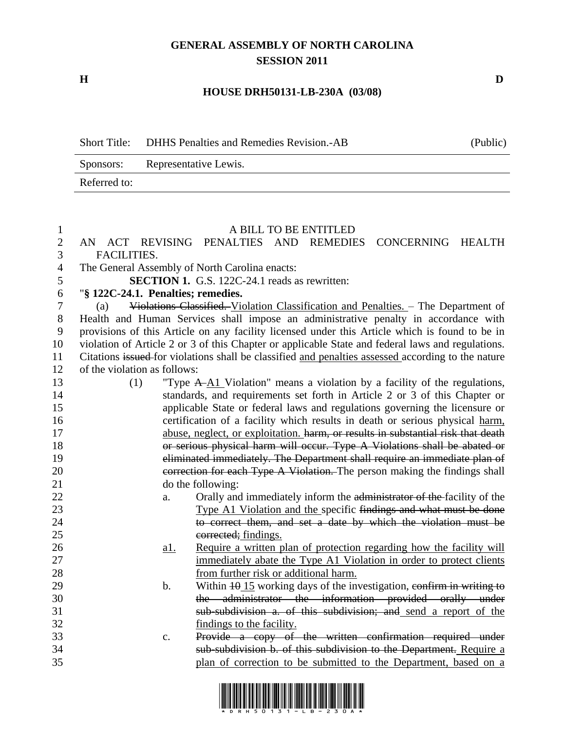## **GENERAL ASSEMBLY OF NORTH CAROLINA SESSION 2011**

**H D**

## **HOUSE DRH50131-LB-230A (03/08)**

|              | Short Title: DHHS Penalties and Remedies Revision.-AB | (Public) |
|--------------|-------------------------------------------------------|----------|
| Sponsors:    | Representative Lewis.                                 |          |
| Referred to: |                                                       |          |

## A BILL TO BE ENTITLED AN ACT REVISING PENALTIES AND REMEDIES CONCERNING HEALTH FACILITIES. The General Assembly of North Carolina enacts: **SECTION 1.** G.S. 122C-24.1 reads as rewritten: "**§ 122C-24.1. Penalties; remedies.** (a) Violations Classified. Violation Classification and Penalties. – The Department of Health and Human Services shall impose an administrative penalty in accordance with provisions of this Article on any facility licensed under this Article which is found to be in violation of Article 2 or 3 of this Chapter or applicable State and federal laws and regulations. Citations issued for violations shall be classified and penalties assessed according to the nature of the violation as follows: (1) "Type A A1 Violation" means a violation by a facility of the regulations, standards, and requirements set forth in Article 2 or 3 of this Chapter or applicable State or federal laws and regulations governing the licensure or certification of a facility which results in death or serious physical harm, abuse, neglect, or exploitation. harm, or results in substantial risk that death or serious physical harm will occur. Type A Violations shall be abated or eliminated immediately. The Department shall require an immediate plan of 20 correction for each Type A Violation. The person making the findings shall do the following: 22 a. Orally and immediately inform the administrator of the facility of the Type A1 Violation and the specific findings and what must be done to correct them, and set a date by which the violation must be 25 corrected; findings. a1. Require a written plan of protection regarding how the facility will 27 immediately abate the Type A1 Violation in order to protect clients from further risk or additional harm. 29 b. Within  $\frac{15}{2}$  working days of the investigation, confirm in writing to the administrator the information provided orally under sub-subdivision a. of this subdivision; and send a report of the findings to the facility. c. Provide a copy of the written confirmation required under sub-subdivision b. of this subdivision to the Department. Require a plan of correction to be submitted to the Department, based on a

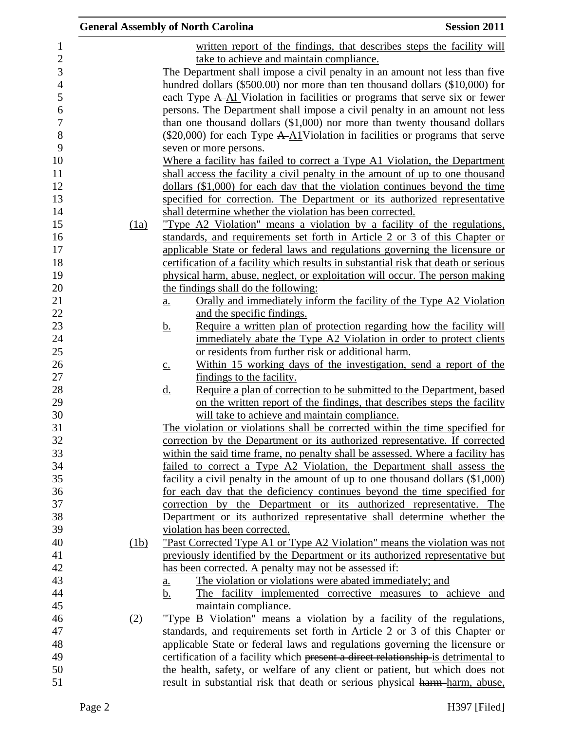|      | <b>General Assembly of North Carolina</b>                                                     | <b>Session 2011</b> |
|------|-----------------------------------------------------------------------------------------------|---------------------|
|      | written report of the findings, that describes steps the facility will                        |                     |
|      | take to achieve and maintain compliance.                                                      |                     |
|      | The Department shall impose a civil penalty in an amount not less than five                   |                     |
|      | hundred dollars (\$500.00) nor more than ten thousand dollars (\$10,000) for                  |                     |
|      | each Type A-Al Violation in facilities or programs that serve six or fewer                    |                     |
|      | persons. The Department shall impose a civil penalty in an amount not less                    |                     |
|      | than one thousand dollars $(\$1,000)$ nor more than twenty thousand dollars                   |                     |
|      | $(\$20,000)$ for each Type A- $\underline{A1}$ Violation in facilities or programs that serve |                     |
|      | seven or more persons.                                                                        |                     |
|      | Where a facility has failed to correct a Type A1 Violation, the Department                    |                     |
|      | shall access the facility a civil penalty in the amount of up to one thousand                 |                     |
|      | dollars $(\$1,000)$ for each day that the violation continues beyond the time                 |                     |
|      | specified for correction. The Department or its authorized representative                     |                     |
|      | shall determine whether the violation has been corrected.                                     |                     |
| (1a) | "Type A2 Violation" means a violation by a facility of the regulations,                       |                     |
|      | standards, and requirements set forth in Article 2 or 3 of this Chapter or                    |                     |
|      | applicable State or federal laws and regulations governing the licensure or                   |                     |
|      | certification of a facility which results in substantial risk that death or serious           |                     |
|      | physical harm, abuse, neglect, or exploitation will occur. The person making                  |                     |
|      | the findings shall do the following:                                                          |                     |
|      | Orally and immediately inform the facility of the Type A2 Violation<br>$\underline{a}$ .      |                     |
|      | and the specific findings.                                                                    |                     |
|      | Require a written plan of protection regarding how the facility will<br><u>b.</u>             |                     |
|      | immediately abate the Type A2 Violation in order to protect clients                           |                     |
|      | or residents from further risk or additional harm.                                            |                     |
|      | Within 15 working days of the investigation, send a report of the<br>$\underline{c}$ .        |                     |
|      | findings to the facility.                                                                     |                     |
|      | Require a plan of correction to be submitted to the Department, based<br><u>d.</u>            |                     |
|      | on the written report of the findings, that describes steps the facility                      |                     |
|      | will take to achieve and maintain compliance.                                                 |                     |
|      | The violation or violations shall be corrected within the time specified for                  |                     |
|      | correction by the Department or its authorized representative. If corrected                   |                     |
|      | within the said time frame, no penalty shall be assessed. Where a facility has                |                     |
|      | failed to correct a Type A2 Violation, the Department shall assess the                        |                     |
|      | facility a civil penalty in the amount of up to one thousand dollars (\$1,000)                |                     |
|      | for each day that the deficiency continues beyond the time specified for                      |                     |
|      | by the Department or its authorized representative. The<br>correction                         |                     |
|      | Department or its authorized representative shall determine whether the                       |                     |
|      | violation has been corrected.                                                                 |                     |
| (1b) | "Past Corrected Type A1 or Type A2 Violation" means the violation was not                     |                     |
|      | previously identified by the Department or its authorized representative but                  |                     |
|      | has been corrected. A penalty may not be assessed if:                                         |                     |
|      | The violation or violations were abated immediately; and<br><u>a.</u>                         |                     |
|      | The facility implemented corrective measures to achieve and<br><u>b.</u>                      |                     |
|      | maintain compliance.                                                                          |                     |
| (2)  | "Type B Violation" means a violation by a facility of the regulations,                        |                     |
|      | standards, and requirements set forth in Article 2 or 3 of this Chapter or                    |                     |
|      | applicable State or federal laws and regulations governing the licensure or                   |                     |
|      | certification of a facility which present a direct relationship-is detrimental to             |                     |
|      | the health, safety, or welfare of any client or patient, but which does not                   |                     |
|      | result in substantial risk that death or serious physical harm-harm, abuse,                   |                     |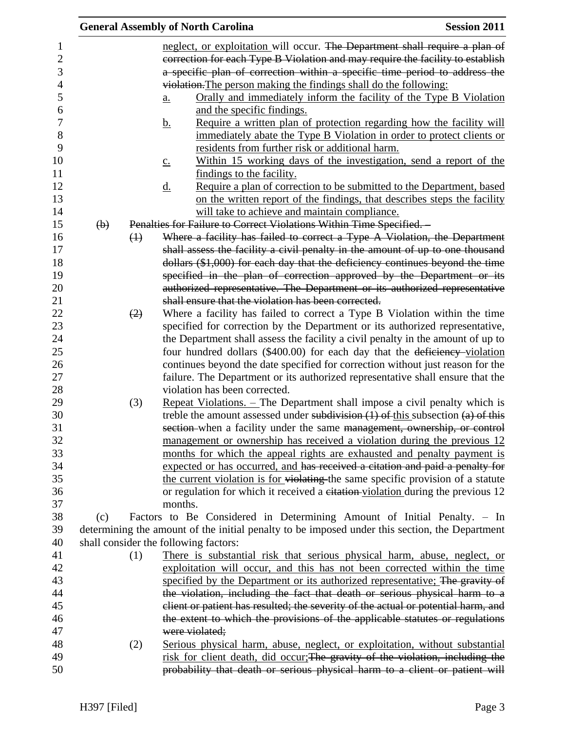|             |                           |                   | <b>General Assembly of North Carolina</b>                                                                                                                                                                                                   | <b>Session 2011</b> |
|-------------|---------------------------|-------------------|---------------------------------------------------------------------------------------------------------------------------------------------------------------------------------------------------------------------------------------------|---------------------|
| 1<br>2<br>3 |                           |                   | neglect, or exploitation will occur. The Department shall require a plan of<br>correction for each Type B Violation and may require the facility to establish<br>a specific plan of correction within a specific time period to address the |                     |
|             |                           |                   |                                                                                                                                                                                                                                             |                     |
| 4           |                           |                   | violation. The person making the findings shall do the following:                                                                                                                                                                           |                     |
| 5           |                           |                   | Orally and immediately inform the facility of the Type B Violation<br>a.                                                                                                                                                                    |                     |
| 6           |                           |                   | and the specific findings.                                                                                                                                                                                                                  |                     |
| $\tau$      |                           |                   | Require a written plan of protection regarding how the facility will<br><u>b.</u>                                                                                                                                                           |                     |
| 8<br>9      |                           |                   | immediately abate the Type B Violation in order to protect clients or<br>residents from further risk or additional harm.                                                                                                                    |                     |
| 10          |                           |                   | Within 15 working days of the investigation, send a report of the<br>$\underline{c}$ .                                                                                                                                                      |                     |
| 11          |                           |                   | findings to the facility.                                                                                                                                                                                                                   |                     |
| 12          |                           |                   | Require a plan of correction to be submitted to the Department, based<br><u>d.</u>                                                                                                                                                          |                     |
| 13          |                           |                   | on the written report of the findings, that describes steps the facility                                                                                                                                                                    |                     |
| 14          |                           |                   | will take to achieve and maintain compliance.                                                                                                                                                                                               |                     |
| 15          | $\left(\mathbf{b}\right)$ |                   | Penalties for Failure to Correct Violations Within Time Specified.                                                                                                                                                                          |                     |
| 16          |                           | $\leftrightarrow$ | Where a facility has failed to correct a Type A Violation, the Department                                                                                                                                                                   |                     |
| 17          |                           |                   | shall assess the facility a civil penalty in the amount of up to one thousand                                                                                                                                                               |                     |
| 18          |                           |                   | dollars (\$1,000) for each day that the deficiency continues beyond the time                                                                                                                                                                |                     |
| 19          |                           |                   | specified in the plan of correction approved by the Department or its                                                                                                                                                                       |                     |
| 20          |                           |                   | authorized representative. The Department or its authorized representative                                                                                                                                                                  |                     |
| 21          |                           |                   | shall ensure that the violation has been corrected.                                                                                                                                                                                         |                     |
| 22          |                           | (2)               | Where a facility has failed to correct a Type B Violation within the time                                                                                                                                                                   |                     |
| 23          |                           |                   | specified for correction by the Department or its authorized representative,                                                                                                                                                                |                     |
| 24          |                           |                   | the Department shall assess the facility a civil penalty in the amount of up to                                                                                                                                                             |                     |
| 25          |                           |                   | four hundred dollars (\$400.00) for each day that the deficiency-violation                                                                                                                                                                  |                     |
| 26          |                           |                   | continues beyond the date specified for correction without just reason for the                                                                                                                                                              |                     |
| 27          |                           |                   | failure. The Department or its authorized representative shall ensure that the                                                                                                                                                              |                     |
| 28          |                           |                   | violation has been corrected.                                                                                                                                                                                                               |                     |
| 29          |                           | (3)               | Repeat Violations. - The Department shall impose a civil penalty which is                                                                                                                                                                   |                     |
| 30          |                           |                   | treble the amount assessed under subdivision $(1)$ of this subsection $(a)$ of this                                                                                                                                                         |                     |
| 31          |                           |                   | section-when a facility under the same management, ownership, or control                                                                                                                                                                    |                     |
| 32          |                           |                   |                                                                                                                                                                                                                                             |                     |
| 33          |                           |                   | management or ownership has received a violation during the previous 12                                                                                                                                                                     |                     |
| 34          |                           |                   | months for which the appeal rights are exhausted and penalty payment is                                                                                                                                                                     |                     |
| 35          |                           |                   | expected or has occurred, and has received a citation and paid a penalty for                                                                                                                                                                |                     |
|             |                           |                   | the current violation is for violating the same specific provision of a statute                                                                                                                                                             |                     |
| 36<br>37    |                           |                   | or regulation for which it received a eitation-violation during the previous 12<br>months.                                                                                                                                                  |                     |
|             |                           |                   |                                                                                                                                                                                                                                             |                     |
| 38          | (c)                       |                   | Factors to Be Considered in Determining Amount of Initial Penalty. – In                                                                                                                                                                     |                     |
| 39          |                           |                   | determining the amount of the initial penalty to be imposed under this section, the Department                                                                                                                                              |                     |
| 40          |                           |                   | shall consider the following factors:                                                                                                                                                                                                       |                     |
| 41          |                           | (1)               | There is substantial risk that serious physical harm, abuse, neglect, or                                                                                                                                                                    |                     |
| 42          |                           |                   | exploitation will occur, and this has not been corrected within the time                                                                                                                                                                    |                     |
| 43          |                           |                   | specified by the Department or its authorized representative; The gravity of                                                                                                                                                                |                     |
| 44          |                           |                   | the violation, including the fact that death or serious physical harm to a                                                                                                                                                                  |                     |
| 45          |                           |                   | client or patient has resulted; the severity of the actual or potential harm, and                                                                                                                                                           |                     |
| 46          |                           |                   | the extent to which the provisions of the applicable statutes or regulations                                                                                                                                                                |                     |
| 47          |                           |                   | were violated;                                                                                                                                                                                                                              |                     |
| 48          |                           | (2)               | Serious physical harm, abuse, neglect, or exploitation, without substantial                                                                                                                                                                 |                     |
| 49          |                           |                   | risk for client death, did occur; The gravity of the violation, including the                                                                                                                                                               |                     |
| 50          |                           |                   | probability that death or serious physical harm to a client or patient will                                                                                                                                                                 |                     |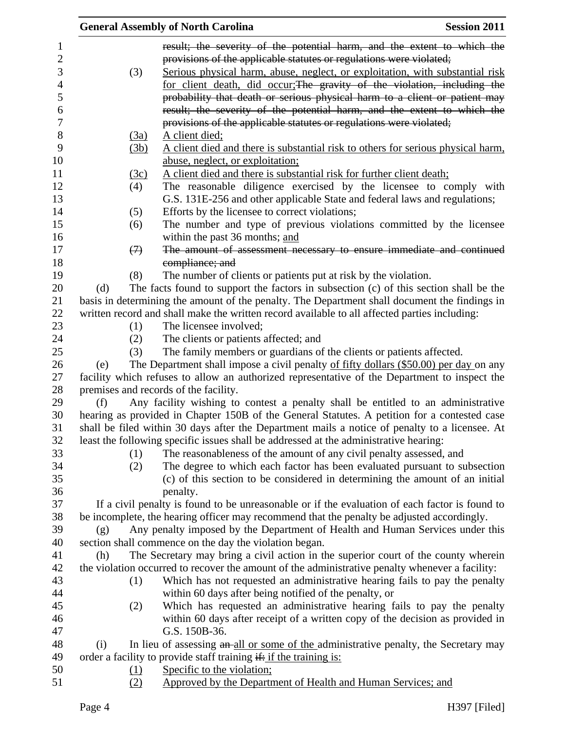|                   | <b>General Assembly of North Carolina</b>                                                                                                                                   | <b>Session 2011</b> |
|-------------------|-----------------------------------------------------------------------------------------------------------------------------------------------------------------------------|---------------------|
|                   | result; the severity of the potential harm, and the extent to which the                                                                                                     |                     |
|                   | provisions of the applicable statutes or regulations were violated;                                                                                                         |                     |
| (3)               | Serious physical harm, abuse, neglect, or exploitation, with substantial risk                                                                                               |                     |
|                   | for client death, did occur; The gravity of the violation, including the                                                                                                    |                     |
|                   | probability that death or serious physical harm to a client or patient may                                                                                                  |                     |
|                   | result; the severity of the potential harm, and the extent to which the                                                                                                     |                     |
|                   | provisions of the applicable statutes or regulations were violated;                                                                                                         |                     |
| (3a)              | A client died;                                                                                                                                                              |                     |
| (3b)              | A client died and there is substantial risk to others for serious physical harm,                                                                                            |                     |
|                   | abuse, neglect, or exploitation;                                                                                                                                            |                     |
| (3c)              | A client died and there is substantial risk for further client death;                                                                                                       |                     |
| (4)               | The reasonable diligence exercised by the licensee to comply with                                                                                                           |                     |
|                   | G.S. 131E-256 and other applicable State and federal laws and regulations;                                                                                                  |                     |
| (5)               | Efforts by the licensee to correct violations;                                                                                                                              |                     |
| (6)               | The number and type of previous violations committed by the licensee                                                                                                        |                     |
|                   | within the past 36 months; and                                                                                                                                              |                     |
| $\leftrightarrow$ | The amount of assessment necessary to ensure immediate and continued                                                                                                        |                     |
|                   | compliance; and                                                                                                                                                             |                     |
| (8)               | The number of clients or patients put at risk by the violation.                                                                                                             |                     |
| (d)               | The facts found to support the factors in subsection (c) of this section shall be the                                                                                       |                     |
|                   | basis in determining the amount of the penalty. The Department shall document the findings in                                                                               |                     |
|                   | written record and shall make the written record available to all affected parties including:                                                                               |                     |
| (1)               | The licensee involved;                                                                                                                                                      |                     |
| (2)               | The clients or patients affected; and                                                                                                                                       |                     |
| (3)               | The family members or guardians of the clients or patients affected.                                                                                                        |                     |
| (e)               | The Department shall impose a civil penalty of fifty dollars (\$50.00) per day on any                                                                                       |                     |
|                   | facility which refuses to allow an authorized representative of the Department to inspect the                                                                               |                     |
|                   | premises and records of the facility.                                                                                                                                       |                     |
| (f)               | Any facility wishing to contest a penalty shall be entitled to an administrative                                                                                            |                     |
|                   | hearing as provided in Chapter 150B of the General Statutes. A petition for a contested case                                                                                |                     |
|                   | shall be filed within 30 days after the Department mails a notice of penalty to a licensee. At                                                                              |                     |
|                   | least the following specific issues shall be addressed at the administrative hearing:                                                                                       |                     |
| (1)               | The reasonableness of the amount of any civil penalty assessed, and                                                                                                         |                     |
| (2)               | The degree to which each factor has been evaluated pursuant to subsection                                                                                                   |                     |
|                   | (c) of this section to be considered in determining the amount of an initial                                                                                                |                     |
|                   | penalty.<br>If a civil penalty is found to be unreasonable or if the evaluation of each factor is found to                                                                  |                     |
|                   |                                                                                                                                                                             |                     |
|                   | be incomplete, the hearing officer may recommend that the penalty be adjusted accordingly.<br>Any penalty imposed by the Department of Health and Human Services under this |                     |
| (g)               | section shall commence on the day the violation began.                                                                                                                      |                     |
| (h)               | The Secretary may bring a civil action in the superior court of the county wherein                                                                                          |                     |
|                   | the violation occurred to recover the amount of the administrative penalty whenever a facility:                                                                             |                     |
|                   |                                                                                                                                                                             |                     |
| (1)               | Which has not requested an administrative hearing fails to pay the penalty                                                                                                  |                     |
|                   | within 60 days after being notified of the penalty, or                                                                                                                      |                     |
| (2)               | Which has requested an administrative hearing fails to pay the penalty                                                                                                      |                     |
|                   | within 60 days after receipt of a written copy of the decision as provided in<br>G.S. 150B-36.                                                                              |                     |
| (i)               | In lieu of assessing an all or some of the administrative penalty, the Secretary may                                                                                        |                     |
|                   | order a facility to provide staff training if: if the training is:                                                                                                          |                     |
| $\Omega$          | Specific to the violation;                                                                                                                                                  |                     |
|                   |                                                                                                                                                                             |                     |

(2) Approved by the Department of Health and Human Services; and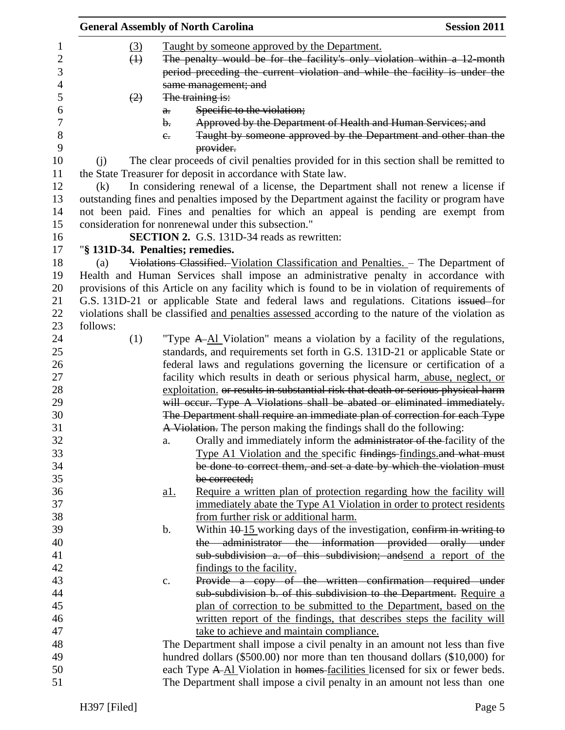|          |                   | <b>General Assembly of North Carolina</b>                                                         | <b>Session 2011</b> |
|----------|-------------------|---------------------------------------------------------------------------------------------------|---------------------|
|          | $\left(3\right)$  | Taught by someone approved by the Department.                                                     |                     |
|          | $\leftrightarrow$ | The penalty would be for the facility's only violation within a 12 month                          |                     |
|          |                   | period preceding the current violation and while the facility is under the                        |                     |
|          |                   | same management; and                                                                              |                     |
|          | (2)               | The training is:                                                                                  |                     |
|          |                   |                                                                                                   |                     |
|          | a.                | Specific to the violation;                                                                        |                     |
|          | $\mathbf{b}$ .    | Approved by the Department of Health and Human Services; and                                      |                     |
|          | $e_{\cdot}$       | Taught by someone approved by the Department and other than the<br>provider.                      |                     |
| (i)      |                   | The clear proceeds of civil penalties provided for in this section shall be remitted to           |                     |
|          |                   | the State Treasurer for deposit in accordance with State law.                                     |                     |
| (k)      |                   | In considering renewal of a license, the Department shall not renew a license if                  |                     |
|          |                   | outstanding fines and penalties imposed by the Department against the facility or program have    |                     |
|          |                   | not been paid. Fines and penalties for which an appeal is pending are exempt from                 |                     |
|          |                   | consideration for nonrenewal under this subsection."                                              |                     |
|          |                   | <b>SECTION 2.</b> G.S. 131D-34 reads as rewritten:                                                |                     |
|          |                   | "§ 131D-34. Penalties; remedies.                                                                  |                     |
| (a)      |                   | Violations Classified. Violation Classification and Penalties. - The Department of                |                     |
|          |                   | Health and Human Services shall impose an administrative penalty in accordance with               |                     |
|          |                   | provisions of this Article on any facility which is found to be in violation of requirements of   |                     |
|          |                   |                                                                                                   |                     |
|          |                   | G.S. 131D-21 or applicable State and federal laws and regulations. Citations issued for           |                     |
|          |                   | violations shall be classified and penalties assessed according to the nature of the violation as |                     |
| follows: |                   |                                                                                                   |                     |
|          | (1)               | "Type A-Al Violation" means a violation by a facility of the regulations,                         |                     |
|          |                   | standards, and requirements set forth in G.S. 131D-21 or applicable State or                      |                     |
|          |                   | federal laws and regulations governing the licensure or certification of a                        |                     |
|          |                   | facility which results in death or serious physical harm, abuse, neglect, or                      |                     |
|          |                   | exploitation. or results in substantial risk that death or serious physical harm                  |                     |
|          |                   | will occur. Type A Violations shall be abated or eliminated immediately.                          |                     |
|          |                   | The Department shall require an immediate plan of correction for each Type                        |                     |
|          |                   | A Violation. The person making the findings shall do the following:                               |                     |
|          | a.                | Orally and immediately inform the administrator of the facility of the                            |                     |
|          |                   | Type A1 Violation and the specific findings-findings.and what must                                |                     |
|          |                   | be done to correct them, and set a date by which the violation must                               |                     |
|          |                   | be corrected;                                                                                     |                     |
|          | <u>al.</u>        | Require a written plan of protection regarding how the facility will                              |                     |
|          |                   | immediately abate the Type A1 Violation in order to protect residents                             |                     |
|          |                   | from further risk or additional harm.                                                             |                     |
|          |                   |                                                                                                   |                     |
|          | b.                | Within $\frac{10 \cdot 15}{10}$ working days of the investigation, confirm in writing to          |                     |
|          |                   | the administrator the information provided orally under                                           |                     |
|          |                   | sub-subdivision a. of this subdivision; and send a report of the                                  |                     |
|          |                   | findings to the facility.                                                                         |                     |
|          | c.                | Provide a copy of the written confirmation required under                                         |                     |
|          |                   | sub-subdivision b. of this subdivision to the Department. Require a                               |                     |
|          |                   | plan of correction to be submitted to the Department, based on the                                |                     |
|          |                   | written report of the findings, that describes steps the facility will                            |                     |
|          |                   | take to achieve and maintain compliance.                                                          |                     |
|          |                   | The Department shall impose a civil penalty in an amount not less than five                       |                     |
|          |                   | hundred dollars $(\$500.00)$ nor more than ten thousand dollars $(\$10,000)$ for                  |                     |
|          |                   | each Type A-Al Violation in homes-facilities licensed for six or fewer beds.                      |                     |
|          |                   | The Department shall impose a civil penalty in an amount not less than one                        |                     |
|          |                   |                                                                                                   |                     |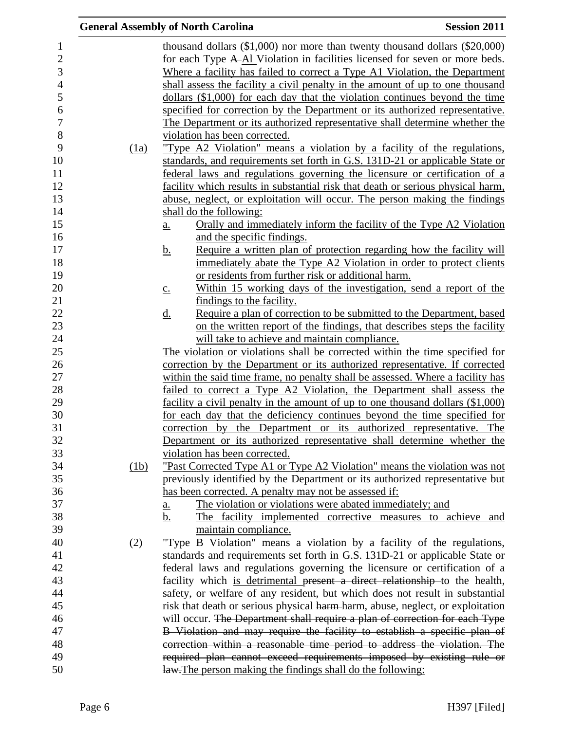|      | <b>General Assembly of North Carolina</b>                                                                | <b>Session 2011</b> |
|------|----------------------------------------------------------------------------------------------------------|---------------------|
|      | thousand dollars $(\$1,000)$ nor more than twenty thousand dollars $(\$20,000)$                          |                     |
|      | for each Type A-Al Violation in facilities licensed for seven or more beds.                              |                     |
|      | Where a facility has failed to correct a Type A1 Violation, the Department                               |                     |
|      | shall assess the facility a civil penalty in the amount of up to one thousand                            |                     |
|      | dollars (\$1,000) for each day that the violation continues beyond the time                              |                     |
|      | specified for correction by the Department or its authorized representative.                             |                     |
|      | The Department or its authorized representative shall determine whether the                              |                     |
|      | violation has been corrected.                                                                            |                     |
| (1a) | "Type A2 Violation" means a violation by a facility of the regulations,                                  |                     |
|      | standards, and requirements set forth in G.S. 131D-21 or applicable State or                             |                     |
|      | federal laws and regulations governing the licensure or certification of a                               |                     |
|      | facility which results in substantial risk that death or serious physical harm,                          |                     |
|      | abuse, neglect, or exploitation will occur. The person making the findings                               |                     |
|      | shall do the following:                                                                                  |                     |
|      | Orally and immediately inform the facility of the Type A2 Violation<br>a.                                |                     |
|      | and the specific findings.                                                                               |                     |
|      | Require a written plan of protection regarding how the facility will<br><u>b.</u>                        |                     |
|      | immediately abate the Type A2 Violation in order to protect clients                                      |                     |
|      | or residents from further risk or additional harm.                                                       |                     |
|      | Within 15 working days of the investigation, send a report of the<br>$\underline{c}$ .                   |                     |
|      | findings to the facility.                                                                                |                     |
|      | Require a plan of correction to be submitted to the Department, based<br><u>d.</u>                       |                     |
|      | on the written report of the findings, that describes steps the facility                                 |                     |
|      | will take to achieve and maintain compliance.                                                            |                     |
|      | The violation or violations shall be corrected within the time specified for                             |                     |
|      | correction by the Department or its authorized representative. If corrected                              |                     |
|      | within the said time frame, no penalty shall be assessed. Where a facility has                           |                     |
|      | failed to correct a Type A2 Violation, the Department shall assess the                                   |                     |
|      | facility a civil penalty in the amount of up to one thousand dollars (\$1,000)                           |                     |
|      | for each day that the deficiency continues beyond the time specified for                                 |                     |
|      | correction by the Department or its authorized representative. The                                       |                     |
|      | Department or its authorized representative shall determine whether the<br>violation has been corrected. |                     |
| (1b) | <u>"Past Corrected Type A1 or Type A2 Violation" means the violation was not</u>                         |                     |
|      | previously identified by the Department or its authorized representative but                             |                     |
|      | has been corrected. A penalty may not be assessed if:                                                    |                     |
|      | The violation or violations were abated immediately; and<br><u>a.</u>                                    |                     |
|      | The facility implemented corrective measures to achieve and<br>b.                                        |                     |
|      | maintain compliance.                                                                                     |                     |
| (2)  | "Type B Violation" means a violation by a facility of the regulations,                                   |                     |
|      | standards and requirements set forth in G.S. 131D-21 or applicable State or                              |                     |
|      | federal laws and regulations governing the licensure or certification of a                               |                     |
|      | facility which is detrimental present a direct relationship to the health,                               |                     |
|      | safety, or welfare of any resident, but which does not result in substantial                             |                     |
|      | risk that death or serious physical harm-harm, abuse, neglect, or exploitation                           |                     |
|      | will occur. The Department shall require a plan of correction for each Type                              |                     |
|      | B Violation and may require the facility to establish a specific plan of                                 |                     |
|      | correction within a reasonable time period to address the violation. The                                 |                     |
|      | required plan cannot exceed requirements imposed by existing rule or                                     |                     |
|      | law. The person making the findings shall do the following:                                              |                     |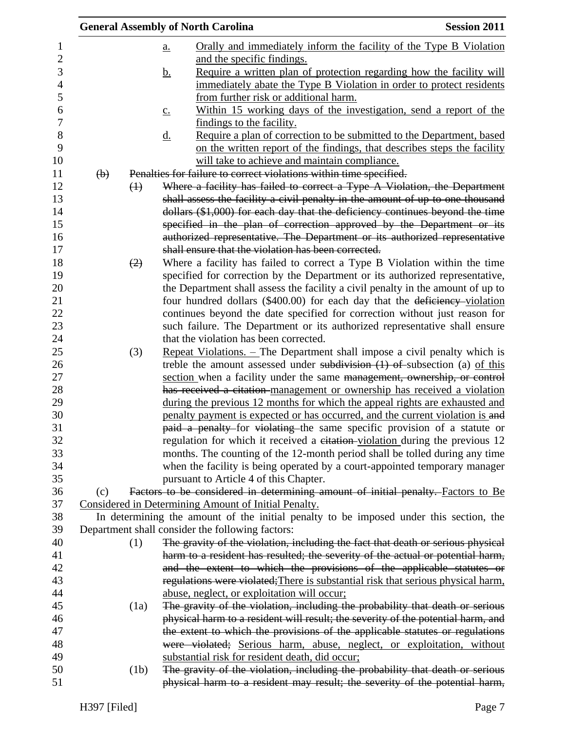|                         |                           |             | <b>General Assembly of North Carolina</b>                                              | <b>Session 2011</b> |
|-------------------------|---------------------------|-------------|----------------------------------------------------------------------------------------|---------------------|
| 1                       |                           |             | Orally and immediately inform the facility of the Type B Violation<br>a.               |                     |
| $\overline{\mathbf{c}}$ |                           |             | and the specific findings.                                                             |                     |
| 3                       |                           |             | Require a written plan of protection regarding how the facility will<br><u>b.</u>      |                     |
| $\overline{4}$          |                           |             | immediately abate the Type B Violation in order to protect residents                   |                     |
| 5                       |                           |             | from further risk or additional harm.                                                  |                     |
| 6                       |                           |             | Within 15 working days of the investigation, send a report of the<br>$\underline{c}$ . |                     |
| $\boldsymbol{7}$        |                           |             | findings to the facility.                                                              |                     |
| 8                       |                           |             | Require a plan of correction to be submitted to the Department, based<br><u>d.</u>     |                     |
| 9                       |                           |             | on the written report of the findings, that describes steps the facility               |                     |
| 10                      |                           |             | will take to achieve and maintain compliance.                                          |                     |
| 11                      | $\left(\mathbf{b}\right)$ |             | Penalties for failure to correct violations within time specified.                     |                     |
| 12                      |                           | $\bigoplus$ | Where a facility has failed to correct a Type A Violation, the Department              |                     |
| 13                      |                           |             | shall assess the facility a civil penalty in the amount of up to one thousand          |                     |
| 14                      |                           |             | dollars (\$1,000) for each day that the deficiency continues beyond the time           |                     |
| 15                      |                           |             | specified in the plan of correction approved by the Department or its                  |                     |
| 16                      |                           |             | authorized representative. The Department or its authorized representative             |                     |
| 17                      |                           |             | shall ensure that the violation has been corrected.                                    |                     |
| 18                      |                           | (2)         | Where a facility has failed to correct a Type B Violation within the time              |                     |
| 19                      |                           |             | specified for correction by the Department or its authorized representative,           |                     |
| 20                      |                           |             | the Department shall assess the facility a civil penalty in the amount of up to        |                     |
| 21                      |                           |             | four hundred dollars (\$400.00) for each day that the deficiency-violation             |                     |
| 22                      |                           |             | continues beyond the date specified for correction without just reason for             |                     |
| 23                      |                           |             | such failure. The Department or its authorized representative shall ensure             |                     |
| 24                      |                           |             | that the violation has been corrected.                                                 |                     |
| 25                      |                           | (3)         | Repeat Violations. - The Department shall impose a civil penalty which is              |                     |
| 26                      |                           |             | treble the amount assessed under subdivision $(1)$ of subsection (a) of this           |                     |
| 27                      |                           |             | section when a facility under the same management, ownership, or control               |                     |
| 28                      |                           |             | has received a citation-management or ownership has received a violation               |                     |
| 29                      |                           |             | during the previous 12 months for which the appeal rights are exhausted and            |                     |
| 30                      |                           |             | penalty payment is expected or has occurred, and the current violation is and          |                     |
| 31                      |                           |             | paid a penalty for violating the same specific provision of a statute or               |                     |
| 32                      |                           |             | regulation for which it received a eitation-violation during the previous 12           |                     |
| 33                      |                           |             | months. The counting of the 12-month period shall be tolled during any time            |                     |
| 34                      |                           |             | when the facility is being operated by a court-appointed temporary manager             |                     |
| 35                      |                           |             | pursuant to Article 4 of this Chapter.                                                 |                     |
| 36                      | (c)                       |             | Factors to be considered in determining amount of initial penalty. Factors to Be       |                     |
| 37                      |                           |             | Considered in Determining Amount of Initial Penalty.                                   |                     |
| 38<br>39                |                           |             | In determining the amount of the initial penalty to be imposed under this section, the |                     |
|                         |                           |             | Department shall consider the following factors:                                       |                     |
| 40                      |                           | (1)         | The gravity of the violation, including the fact that death or serious physical        |                     |
| 41                      |                           |             | harm to a resident has resulted; the severity of the actual or potential harm,         |                     |
| 42                      |                           |             | and the extent to which the provisions of the applicable statutes or                   |                     |
| 43                      |                           |             | regulations were violated; There is substantial risk that serious physical harm,       |                     |
| 44                      |                           |             | abuse, neglect, or exploitation will occur;                                            |                     |
| 45                      |                           | (1a)        | The gravity of the violation, including the probability that death or serious          |                     |
| 46                      |                           |             | physical harm to a resident will result; the severity of the potential harm, and       |                     |
| 47                      |                           |             | the extent to which the provisions of the applicable statutes or regulations           |                     |
| 48                      |                           |             | were violated; Serious harm, abuse, neglect, or exploitation, without                  |                     |
| 49<br>50                |                           |             | substantial risk for resident death, did occur;                                        |                     |
|                         |                           | (1b)        | The gravity of the violation, including the probability that death or serious          |                     |
| 51                      |                           |             | physical harm to a resident may result; the severity of the potential harm,            |                     |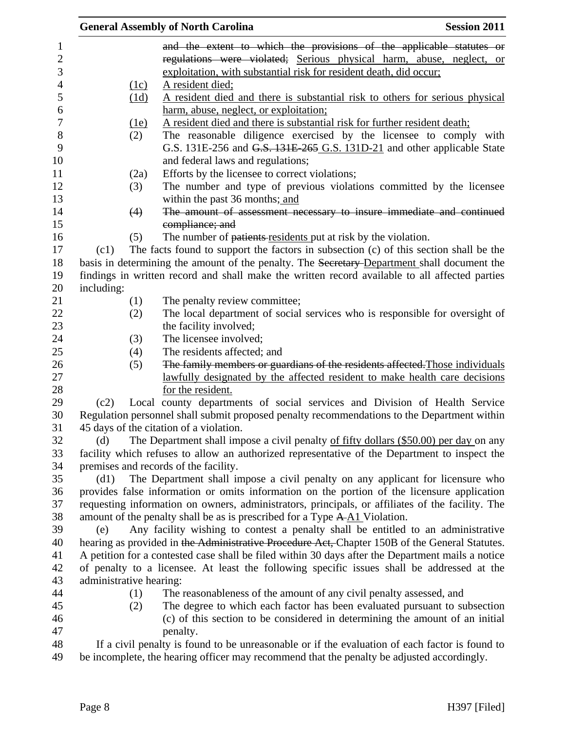|            |                         | <b>General Assembly of North Carolina</b>                                                              | <b>Session 2011</b> |
|------------|-------------------------|--------------------------------------------------------------------------------------------------------|---------------------|
|            |                         | and the extent to which the provisions of the applicable statutes or                                   |                     |
|            |                         | regulations were violated; Serious physical harm, abuse, neglect, or                                   |                     |
|            |                         | exploitation, with substantial risk for resident death, did occur;                                     |                     |
|            | (1c)                    | <u>A resident died;</u>                                                                                |                     |
|            | (1d)                    | A resident died and there is substantial risk to others for serious physical                           |                     |
|            |                         | harm, abuse, neglect, or exploitation;                                                                 |                     |
|            | <u>(1e)</u>             | A resident died and there is substantial risk for further resident death;                              |                     |
|            | (2)                     | The reasonable diligence exercised by the licensee to comply with                                      |                     |
|            |                         | G.S. 131E-256 and G.S. 131E-265 G.S. 131D-21 and other applicable State                                |                     |
|            |                         | and federal laws and regulations;                                                                      |                     |
|            | (2a)                    | Efforts by the licensee to correct violations;                                                         |                     |
|            | (3)                     | The number and type of previous violations committed by the licensee<br>within the past 36 months; and |                     |
|            | (4)                     | The amount of assessment necessary to insure immediate and continued                                   |                     |
|            |                         | compliance; and                                                                                        |                     |
|            | (5)                     | The number of patients residents put at risk by the violation.                                         |                     |
| (c1)       |                         | The facts found to support the factors in subsection (c) of this section shall be the                  |                     |
|            |                         | basis in determining the amount of the penalty. The Secretary-Department shall document the            |                     |
|            |                         | findings in written record and shall make the written record available to all affected parties         |                     |
| including: |                         |                                                                                                        |                     |
|            | (1)                     | The penalty review committee;                                                                          |                     |
|            | (2)                     | The local department of social services who is responsible for oversight of                            |                     |
|            |                         | the facility involved;                                                                                 |                     |
|            | (3)                     | The licensee involved;                                                                                 |                     |
|            | (4)                     | The residents affected; and                                                                            |                     |
|            | (5)                     | The family members or guardians of the residents affected. Those individuals                           |                     |
|            |                         | lawfully designated by the affected resident to make health care decisions                             |                     |
|            |                         | for the resident.                                                                                      |                     |
| (c2)       |                         | Local county departments of social services and Division of Health Service                             |                     |
|            |                         | Regulation personnel shall submit proposed penalty recommendations to the Department within            |                     |
|            |                         | 45 days of the citation of a violation.                                                                |                     |
| (d)        |                         | The Department shall impose a civil penalty of fifty dollars (\$50.00) per day on any                  |                     |
|            |                         | facility which refuses to allow an authorized representative of the Department to inspect the          |                     |
|            |                         | premises and records of the facility.                                                                  |                     |
| (d1)       |                         | The Department shall impose a civil penalty on any applicant for licensure who                         |                     |
|            |                         | provides false information or omits information on the portion of the licensure application            |                     |
|            |                         | requesting information on owners, administrators, principals, or affiliates of the facility. The       |                     |
|            |                         | amount of the penalty shall be as is prescribed for a Type A-A1 Violation.                             |                     |
| (e)        |                         | Any facility wishing to contest a penalty shall be entitled to an administrative                       |                     |
|            |                         | hearing as provided in the Administrative Procedure Act, Chapter 150B of the General Statutes.         |                     |
|            |                         | A petition for a contested case shall be filed within 30 days after the Department mails a notice      |                     |
|            |                         | of penalty to a licensee. At least the following specific issues shall be addressed at the             |                     |
|            | administrative hearing: |                                                                                                        |                     |
|            | (1)                     | The reasonableness of the amount of any civil penalty assessed, and                                    |                     |
|            | (2)                     | The degree to which each factor has been evaluated pursuant to subsection                              |                     |
|            |                         | (c) of this section to be considered in determining the amount of an initial                           |                     |
|            |                         | penalty.                                                                                               |                     |
|            |                         | If a civil penalty is found to be unreasonable or if the evaluation of each factor is found to         |                     |
|            |                         |                                                                                                        |                     |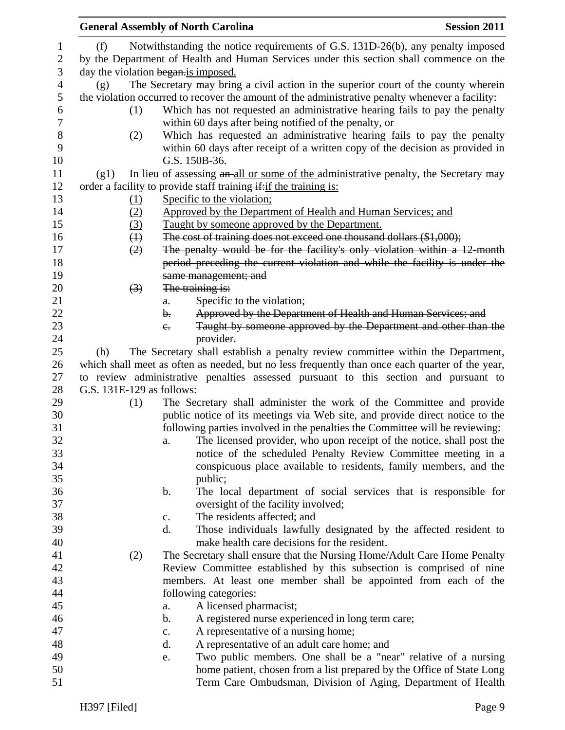|                       | <b>General Assembly of North Carolina</b> |                |                                                                                                                                      | <b>Session 2011</b> |
|-----------------------|-------------------------------------------|----------------|--------------------------------------------------------------------------------------------------------------------------------------|---------------------|
| $\mathbf 1$           | (f)                                       |                | Notwithstanding the notice requirements of G.S. 131D-26(b), any penalty imposed                                                      |                     |
| $\overline{2}$        |                                           |                | by the Department of Health and Human Services under this section shall commence on the                                              |                     |
| 3                     | day the violation began is imposed.       |                |                                                                                                                                      |                     |
| $\overline{4}$        | (g)                                       |                | The Secretary may bring a civil action in the superior court of the county wherein                                                   |                     |
| 5                     |                                           |                |                                                                                                                                      |                     |
|                       |                                           |                | the violation occurred to recover the amount of the administrative penalty whenever a facility:                                      |                     |
| 6<br>$\boldsymbol{7}$ | (1)                                       |                | Which has not requested an administrative hearing fails to pay the penalty<br>within 60 days after being notified of the penalty, or |                     |
| $8\,$                 | (2)                                       |                | Which has requested an administrative hearing fails to pay the penalty                                                               |                     |
| 9<br>10               |                                           |                | within 60 days after receipt of a written copy of the decision as provided in<br>G.S. 150B-36.                                       |                     |
| 11                    | (g1)                                      |                | In lieu of assessing an all or some of the administrative penalty, the Secretary may                                                 |                     |
| 12                    |                                           |                | order a facility to provide staff training if: if the training is:                                                                   |                     |
| 13                    | $\Omega$                                  |                | Specific to the violation;                                                                                                           |                     |
| 14                    | (2)                                       |                | Approved by the Department of Health and Human Services; and                                                                         |                     |
| 15                    | (3)                                       |                | Taught by someone approved by the Department.                                                                                        |                     |
| 16                    | $\bigoplus$                               |                | The cost of training does not exceed one thousand dollars (\$1,000);                                                                 |                     |
| 17                    |                                           |                | The penalty would be for the facility's only violation within a 12 month                                                             |                     |
|                       | (2)                                       |                |                                                                                                                                      |                     |
| 18                    |                                           |                | period preceding the current violation and while the facility is under the                                                           |                     |
| 19                    |                                           |                | same management; and                                                                                                                 |                     |
| 20                    | $\left(3\right)$                          |                | The training is:                                                                                                                     |                     |
| 21                    |                                           | $a$ .          | Specific to the violation;                                                                                                           |                     |
| 22                    |                                           | b.             | Approved by the Department of Health and Human Services; and                                                                         |                     |
| 23                    |                                           | $e_{\cdot}$    | Taught by someone approved by the Department and other than the                                                                      |                     |
| 24                    |                                           |                | provider.                                                                                                                            |                     |
| 25                    | (h)                                       |                | The Secretary shall establish a penalty review committee within the Department,                                                      |                     |
| 26                    |                                           |                | which shall meet as often as needed, but no less frequently than once each quarter of the year,                                      |                     |
| 27                    |                                           |                | to review administrative penalties assessed pursuant to this section and pursuant to                                                 |                     |
| 28                    | G.S. 131E-129 as follows:                 |                |                                                                                                                                      |                     |
| 29                    | (1)                                       |                | The Secretary shall administer the work of the Committee and provide                                                                 |                     |
| 30                    |                                           |                | public notice of its meetings via Web site, and provide direct notice to the                                                         |                     |
| 31                    |                                           |                | following parties involved in the penalties the Committee will be reviewing:                                                         |                     |
| 32                    |                                           | a.             | The licensed provider, who upon receipt of the notice, shall post the                                                                |                     |
| 33                    |                                           |                | notice of the scheduled Penalty Review Committee meeting in a                                                                        |                     |
| 34                    |                                           |                | conspicuous place available to residents, family members, and the                                                                    |                     |
| 35                    |                                           |                | public;                                                                                                                              |                     |
| 36                    |                                           | b.             | The local department of social services that is responsible for                                                                      |                     |
| 37                    |                                           |                | oversight of the facility involved;                                                                                                  |                     |
| 38                    |                                           | $\mathbf{c}$ . | The residents affected; and                                                                                                          |                     |
| 39                    |                                           | d.             | Those individuals lawfully designated by the affected resident to                                                                    |                     |
| 40                    |                                           |                | make health care decisions for the resident.                                                                                         |                     |
|                       |                                           |                | The Secretary shall ensure that the Nursing Home/Adult Care Home Penalty                                                             |                     |
| 41<br>42              | (2)                                       |                | Review Committee established by this subsection is comprised of nine                                                                 |                     |
|                       |                                           |                |                                                                                                                                      |                     |
| 43                    |                                           |                | members. At least one member shall be appointed from each of the                                                                     |                     |
| 44                    |                                           |                | following categories:                                                                                                                |                     |
| 45                    |                                           | a.             | A licensed pharmacist;                                                                                                               |                     |
| 46                    |                                           | b.             | A registered nurse experienced in long term care;                                                                                    |                     |
| 47                    |                                           | $C_{\bullet}$  | A representative of a nursing home;                                                                                                  |                     |
| 48                    |                                           | d.             | A representative of an adult care home; and                                                                                          |                     |
| 49                    |                                           | e.             | Two public members. One shall be a "near" relative of a nursing                                                                      |                     |
| 50                    |                                           |                | home patient, chosen from a list prepared by the Office of State Long                                                                |                     |
| 51                    |                                           |                | Term Care Ombudsman, Division of Aging, Department of Health                                                                         |                     |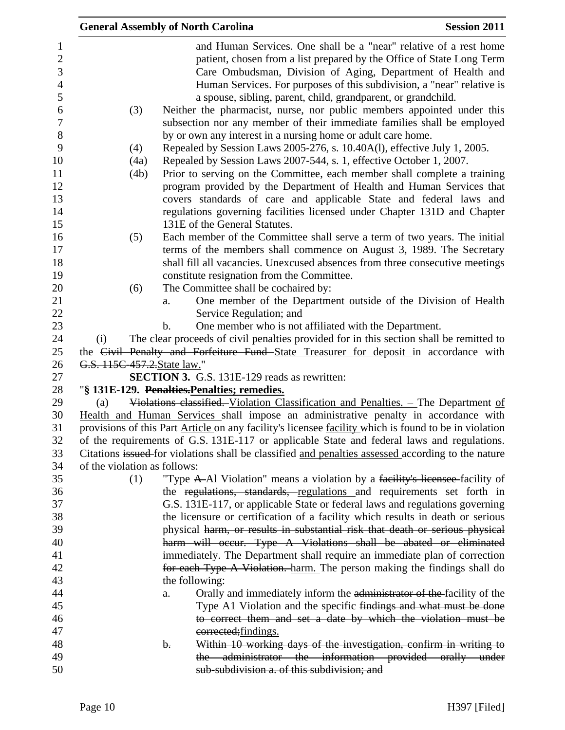| <b>General Assembly of North Carolina</b> |               |                                                                                                                                                                                                                                                                                                                                                      | <b>Session 2011</b> |
|-------------------------------------------|---------------|------------------------------------------------------------------------------------------------------------------------------------------------------------------------------------------------------------------------------------------------------------------------------------------------------------------------------------------------------|---------------------|
|                                           |               | and Human Services. One shall be a "near" relative of a rest home<br>patient, chosen from a list prepared by the Office of State Long Term<br>Care Ombudsman, Division of Aging, Department of Health and<br>Human Services. For purposes of this subdivision, a "near" relative is<br>a spouse, sibling, parent, child, grandparent, or grandchild. |                     |
| (3)                                       |               | Neither the pharmacist, nurse, nor public members appointed under this<br>subsection nor any member of their immediate families shall be employed<br>by or own any interest in a nursing home or adult care home.                                                                                                                                    |                     |
| (4)                                       |               | Repealed by Session Laws 2005-276, s. 10.40A(1), effective July 1, 2005.                                                                                                                                                                                                                                                                             |                     |
| (4a)                                      |               | Repealed by Session Laws 2007-544, s. 1, effective October 1, 2007.                                                                                                                                                                                                                                                                                  |                     |
| (4b)                                      |               | Prior to serving on the Committee, each member shall complete a training                                                                                                                                                                                                                                                                             |                     |
|                                           |               | program provided by the Department of Health and Human Services that                                                                                                                                                                                                                                                                                 |                     |
|                                           |               | covers standards of care and applicable State and federal laws and                                                                                                                                                                                                                                                                                   |                     |
|                                           |               | regulations governing facilities licensed under Chapter 131D and Chapter                                                                                                                                                                                                                                                                             |                     |
|                                           |               | 131E of the General Statutes.                                                                                                                                                                                                                                                                                                                        |                     |
| (5)                                       |               | Each member of the Committee shall serve a term of two years. The initial                                                                                                                                                                                                                                                                            |                     |
|                                           |               | terms of the members shall commence on August 3, 1989. The Secretary                                                                                                                                                                                                                                                                                 |                     |
|                                           |               | shall fill all vacancies. Unexcused absences from three consecutive meetings                                                                                                                                                                                                                                                                         |                     |
|                                           |               | constitute resignation from the Committee.                                                                                                                                                                                                                                                                                                           |                     |
| (6)                                       |               | The Committee shall be cochaired by:                                                                                                                                                                                                                                                                                                                 |                     |
|                                           | a.            | One member of the Department outside of the Division of Health                                                                                                                                                                                                                                                                                       |                     |
|                                           |               | Service Regulation; and                                                                                                                                                                                                                                                                                                                              |                     |
|                                           | $\mathbf b$ . | One member who is not affiliated with the Department.                                                                                                                                                                                                                                                                                                |                     |
| (i)                                       |               | The clear proceeds of civil penalties provided for in this section shall be remitted to                                                                                                                                                                                                                                                              |                     |
| G.S. 115C-457.2. State law."              |               | the Civil Penalty and Forfeiture Fund State Treasurer for deposit in accordance with                                                                                                                                                                                                                                                                 |                     |
|                                           |               | <b>SECTION 3.</b> G.S. 131E-129 reads as rewritten:                                                                                                                                                                                                                                                                                                  |                     |
|                                           |               | "§ 131E-129. Penalties. Penalties; remedies.                                                                                                                                                                                                                                                                                                         |                     |
| (a)                                       |               | Violations classified. Violation Classification and Penalties. - The Department of                                                                                                                                                                                                                                                                   |                     |
|                                           |               | Health and Human Services shall impose an administrative penalty in accordance with                                                                                                                                                                                                                                                                  |                     |
|                                           |               | provisions of this Part-Article on any facility's licensee-facility which is found to be in violation                                                                                                                                                                                                                                                |                     |
|                                           |               | of the requirements of G.S. 131E-117 or applicable State and federal laws and regulations.                                                                                                                                                                                                                                                           |                     |
|                                           |               | Citations issued for violations shall be classified and penalties assessed according to the nature                                                                                                                                                                                                                                                   |                     |
| of the violation as follows:              |               |                                                                                                                                                                                                                                                                                                                                                      |                     |
| (1)                                       |               | "Type A-Al Violation" means a violation by a facility's licensee facility of                                                                                                                                                                                                                                                                         |                     |
|                                           |               | the regulations, standards, regulations and requirements set forth in                                                                                                                                                                                                                                                                                |                     |
|                                           |               | G.S. 131E-117, or applicable State or federal laws and regulations governing                                                                                                                                                                                                                                                                         |                     |
|                                           |               | the licensure or certification of a facility which results in death or serious                                                                                                                                                                                                                                                                       |                     |
|                                           |               | physical harm, or results in substantial risk that death or serious physical                                                                                                                                                                                                                                                                         |                     |
|                                           |               | harm will occur. Type A Violations shall be abated or eliminated                                                                                                                                                                                                                                                                                     |                     |
|                                           |               | immediately. The Department shall require an immediate plan of correction                                                                                                                                                                                                                                                                            |                     |
|                                           |               | for each Type A Violation. harm. The person making the findings shall do                                                                                                                                                                                                                                                                             |                     |
|                                           |               | the following:                                                                                                                                                                                                                                                                                                                                       |                     |
|                                           | a.            | Orally and immediately inform the administrator of the facility of the                                                                                                                                                                                                                                                                               |                     |
|                                           |               | Type A1 Violation and the specific findings and what must be done                                                                                                                                                                                                                                                                                    |                     |
|                                           |               | to correct them and set a date by which the violation must be                                                                                                                                                                                                                                                                                        |                     |
|                                           |               | corrected; findings.                                                                                                                                                                                                                                                                                                                                 |                     |
|                                           | b.            | Within 10 working days of the investigation, confirm in writing to<br>the administrator the information provided orally under                                                                                                                                                                                                                        |                     |
|                                           |               | sub-subdivision a. of this subdivision; and                                                                                                                                                                                                                                                                                                          |                     |
|                                           |               |                                                                                                                                                                                                                                                                                                                                                      |                     |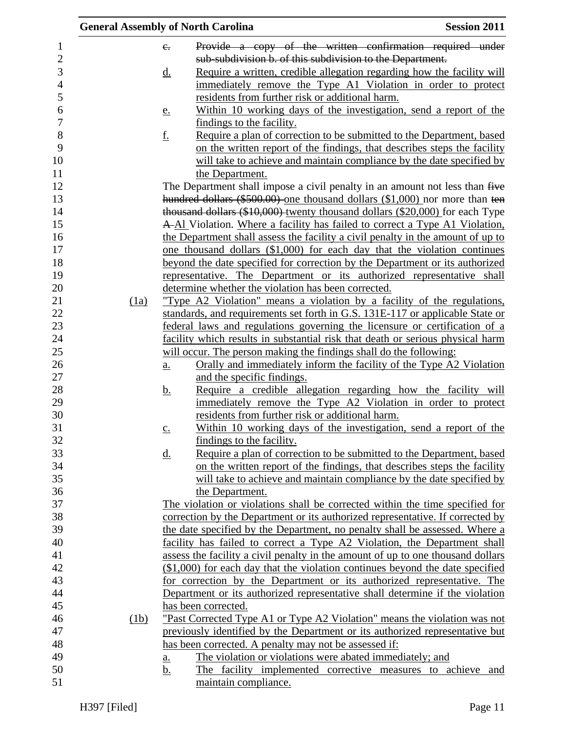| Provide a copy of the written confirmation required under<br>1<br>$e_{\cdot}$<br>$\overline{c}$<br>sub-subdivision b. of this subdivision to the Department.<br>3<br>Require a written, credible allegation regarding how the facility will<br><u>d.</u><br>$\overline{4}$<br>immediately remove the Type A1 Violation in order to protect<br>5<br>residents from further risk or additional harm.<br>6<br>Within 10 working days of the investigation, send a report of the<br>e.<br>$\overline{7}$<br>findings to the facility.<br>8<br>Require a plan of correction to be submitted to the Department, based<br><u>f.</u><br>9<br>on the written report of the findings, that describes steps the facility<br>10<br>will take to achieve and maintain compliance by the date specified by<br>11<br>the Department.<br>12<br>The Department shall impose a civil penalty in an amount not less than five<br>hundred dollars (\$500.00) one thousand dollars (\$1,000) nor more than ten<br>13<br>14<br>thousand dollars (\$10,000) twenty thousand dollars (\$20,000) for each Type<br>15<br>A-Al Violation. Where a facility has failed to correct a Type A1 Violation.<br>16<br>the Department shall assess the facility a civil penalty in the amount of up to<br>17<br>one thousand dollars (\$1,000) for each day that the violation continues<br>18<br>beyond the date specified for correction by the Department or its authorized<br>19<br>representative. The Department or its authorized representative shall<br>20<br>determine whether the violation has been corrected.<br>21<br>"Type A2 Violation" means a violation by a facility of the regulations,<br>(1a)<br>22<br>standards, and requirements set forth in G.S. 131E-117 or applicable State or<br>23<br>federal laws and regulations governing the licensure or certification of a<br>24<br>facility which results in substantial risk that death or serious physical harm<br>25<br>will occur. The person making the findings shall do the following:<br>26<br><u>Orally and immediately inform the facility of the Type A2 Violation</u><br>a.<br>$27\,$<br>and the specific findings.<br>28<br>Require a credible allegation regarding how the facility will<br><u>b.</u><br>29<br>immediately remove the Type A2 Violation in order to protect<br>residents from further risk or additional harm.<br>Within 10 working days of the investigation, send a report of the<br>$\underline{c}$ .<br>findings to the facility.<br>Require a plan of correction to be submitted to the Department, based<br><u>d.</u><br>on the written report of the findings, that describes steps the facility<br>will take to achieve and maintain compliance by the date specified by<br>36<br>the Department.<br>37<br>The violation or violations shall be corrected within the time specified for<br>38<br>correction by the Department or its authorized representative. If corrected by<br>39<br>the date specified by the Department, no penalty shall be assessed. Where a<br>40<br>facility has failed to correct a Type A2 Violation, the Department shall<br>41<br>assess the facility a civil penalty in the amount of up to one thousand dollars<br>42<br>(\$1,000) for each day that the violation continues beyond the date specified<br>43<br>for correction by the Department or its authorized representative. The<br>44<br>Department or its authorized representative shall determine if the violation<br>45<br>has been corrected.<br>46<br>"Past Corrected Type A1 or Type A2 Violation" means the violation was not<br>(1b)<br>47<br>previously identified by the Department or its authorized representative but<br>48<br>has been corrected. A penalty may not be assessed if:<br>49<br>The violation or violations were abated immediately; and<br>a.<br>50<br>The facility implemented corrective measures to achieve and<br><u>b.</u> |    | <b>General Assembly of North Carolina</b> | <b>Session 2011</b> |
|-----------------------------------------------------------------------------------------------------------------------------------------------------------------------------------------------------------------------------------------------------------------------------------------------------------------------------------------------------------------------------------------------------------------------------------------------------------------------------------------------------------------------------------------------------------------------------------------------------------------------------------------------------------------------------------------------------------------------------------------------------------------------------------------------------------------------------------------------------------------------------------------------------------------------------------------------------------------------------------------------------------------------------------------------------------------------------------------------------------------------------------------------------------------------------------------------------------------------------------------------------------------------------------------------------------------------------------------------------------------------------------------------------------------------------------------------------------------------------------------------------------------------------------------------------------------------------------------------------------------------------------------------------------------------------------------------------------------------------------------------------------------------------------------------------------------------------------------------------------------------------------------------------------------------------------------------------------------------------------------------------------------------------------------------------------------------------------------------------------------------------------------------------------------------------------------------------------------------------------------------------------------------------------------------------------------------------------------------------------------------------------------------------------------------------------------------------------------------------------------------------------------------------------------------------------------------------------------------------------------------------------------------------------------------------------------------------------------------------------------------------------------------------------------------------------------------------------------------------------------------------------------------------------------------------------------------------------------------------------------------------------------------------------------------------------------------------------------------------------------------------------------------------------------------------------------------------------------------------------------------------------------------------------------------------------------------------------------------------------------------------------------------------------------------------------------------------------------------------------------------------------------------------------------------------------------------------------------------------------------------------------------------------------------------------------------------------------------------------------------------------------------------------------------------------------------------------------------------------------------------------------------------------------------------------|----|-------------------------------------------|---------------------|
|                                                                                                                                                                                                                                                                                                                                                                                                                                                                                                                                                                                                                                                                                                                                                                                                                                                                                                                                                                                                                                                                                                                                                                                                                                                                                                                                                                                                                                                                                                                                                                                                                                                                                                                                                                                                                                                                                                                                                                                                                                                                                                                                                                                                                                                                                                                                                                                                                                                                                                                                                                                                                                                                                                                                                                                                                                                                                                                                                                                                                                                                                                                                                                                                                                                                                                                                                                                                                                                                                                                                                                                                                                                                                                                                                                                                                                                                                                                             |    |                                           |                     |
|                                                                                                                                                                                                                                                                                                                                                                                                                                                                                                                                                                                                                                                                                                                                                                                                                                                                                                                                                                                                                                                                                                                                                                                                                                                                                                                                                                                                                                                                                                                                                                                                                                                                                                                                                                                                                                                                                                                                                                                                                                                                                                                                                                                                                                                                                                                                                                                                                                                                                                                                                                                                                                                                                                                                                                                                                                                                                                                                                                                                                                                                                                                                                                                                                                                                                                                                                                                                                                                                                                                                                                                                                                                                                                                                                                                                                                                                                                                             |    |                                           |                     |
|                                                                                                                                                                                                                                                                                                                                                                                                                                                                                                                                                                                                                                                                                                                                                                                                                                                                                                                                                                                                                                                                                                                                                                                                                                                                                                                                                                                                                                                                                                                                                                                                                                                                                                                                                                                                                                                                                                                                                                                                                                                                                                                                                                                                                                                                                                                                                                                                                                                                                                                                                                                                                                                                                                                                                                                                                                                                                                                                                                                                                                                                                                                                                                                                                                                                                                                                                                                                                                                                                                                                                                                                                                                                                                                                                                                                                                                                                                                             |    |                                           |                     |
|                                                                                                                                                                                                                                                                                                                                                                                                                                                                                                                                                                                                                                                                                                                                                                                                                                                                                                                                                                                                                                                                                                                                                                                                                                                                                                                                                                                                                                                                                                                                                                                                                                                                                                                                                                                                                                                                                                                                                                                                                                                                                                                                                                                                                                                                                                                                                                                                                                                                                                                                                                                                                                                                                                                                                                                                                                                                                                                                                                                                                                                                                                                                                                                                                                                                                                                                                                                                                                                                                                                                                                                                                                                                                                                                                                                                                                                                                                                             |    |                                           |                     |
|                                                                                                                                                                                                                                                                                                                                                                                                                                                                                                                                                                                                                                                                                                                                                                                                                                                                                                                                                                                                                                                                                                                                                                                                                                                                                                                                                                                                                                                                                                                                                                                                                                                                                                                                                                                                                                                                                                                                                                                                                                                                                                                                                                                                                                                                                                                                                                                                                                                                                                                                                                                                                                                                                                                                                                                                                                                                                                                                                                                                                                                                                                                                                                                                                                                                                                                                                                                                                                                                                                                                                                                                                                                                                                                                                                                                                                                                                                                             |    |                                           |                     |
|                                                                                                                                                                                                                                                                                                                                                                                                                                                                                                                                                                                                                                                                                                                                                                                                                                                                                                                                                                                                                                                                                                                                                                                                                                                                                                                                                                                                                                                                                                                                                                                                                                                                                                                                                                                                                                                                                                                                                                                                                                                                                                                                                                                                                                                                                                                                                                                                                                                                                                                                                                                                                                                                                                                                                                                                                                                                                                                                                                                                                                                                                                                                                                                                                                                                                                                                                                                                                                                                                                                                                                                                                                                                                                                                                                                                                                                                                                                             |    |                                           |                     |
|                                                                                                                                                                                                                                                                                                                                                                                                                                                                                                                                                                                                                                                                                                                                                                                                                                                                                                                                                                                                                                                                                                                                                                                                                                                                                                                                                                                                                                                                                                                                                                                                                                                                                                                                                                                                                                                                                                                                                                                                                                                                                                                                                                                                                                                                                                                                                                                                                                                                                                                                                                                                                                                                                                                                                                                                                                                                                                                                                                                                                                                                                                                                                                                                                                                                                                                                                                                                                                                                                                                                                                                                                                                                                                                                                                                                                                                                                                                             |    |                                           |                     |
|                                                                                                                                                                                                                                                                                                                                                                                                                                                                                                                                                                                                                                                                                                                                                                                                                                                                                                                                                                                                                                                                                                                                                                                                                                                                                                                                                                                                                                                                                                                                                                                                                                                                                                                                                                                                                                                                                                                                                                                                                                                                                                                                                                                                                                                                                                                                                                                                                                                                                                                                                                                                                                                                                                                                                                                                                                                                                                                                                                                                                                                                                                                                                                                                                                                                                                                                                                                                                                                                                                                                                                                                                                                                                                                                                                                                                                                                                                                             |    |                                           |                     |
|                                                                                                                                                                                                                                                                                                                                                                                                                                                                                                                                                                                                                                                                                                                                                                                                                                                                                                                                                                                                                                                                                                                                                                                                                                                                                                                                                                                                                                                                                                                                                                                                                                                                                                                                                                                                                                                                                                                                                                                                                                                                                                                                                                                                                                                                                                                                                                                                                                                                                                                                                                                                                                                                                                                                                                                                                                                                                                                                                                                                                                                                                                                                                                                                                                                                                                                                                                                                                                                                                                                                                                                                                                                                                                                                                                                                                                                                                                                             |    |                                           |                     |
|                                                                                                                                                                                                                                                                                                                                                                                                                                                                                                                                                                                                                                                                                                                                                                                                                                                                                                                                                                                                                                                                                                                                                                                                                                                                                                                                                                                                                                                                                                                                                                                                                                                                                                                                                                                                                                                                                                                                                                                                                                                                                                                                                                                                                                                                                                                                                                                                                                                                                                                                                                                                                                                                                                                                                                                                                                                                                                                                                                                                                                                                                                                                                                                                                                                                                                                                                                                                                                                                                                                                                                                                                                                                                                                                                                                                                                                                                                                             |    |                                           |                     |
|                                                                                                                                                                                                                                                                                                                                                                                                                                                                                                                                                                                                                                                                                                                                                                                                                                                                                                                                                                                                                                                                                                                                                                                                                                                                                                                                                                                                                                                                                                                                                                                                                                                                                                                                                                                                                                                                                                                                                                                                                                                                                                                                                                                                                                                                                                                                                                                                                                                                                                                                                                                                                                                                                                                                                                                                                                                                                                                                                                                                                                                                                                                                                                                                                                                                                                                                                                                                                                                                                                                                                                                                                                                                                                                                                                                                                                                                                                                             |    |                                           |                     |
|                                                                                                                                                                                                                                                                                                                                                                                                                                                                                                                                                                                                                                                                                                                                                                                                                                                                                                                                                                                                                                                                                                                                                                                                                                                                                                                                                                                                                                                                                                                                                                                                                                                                                                                                                                                                                                                                                                                                                                                                                                                                                                                                                                                                                                                                                                                                                                                                                                                                                                                                                                                                                                                                                                                                                                                                                                                                                                                                                                                                                                                                                                                                                                                                                                                                                                                                                                                                                                                                                                                                                                                                                                                                                                                                                                                                                                                                                                                             |    |                                           |                     |
|                                                                                                                                                                                                                                                                                                                                                                                                                                                                                                                                                                                                                                                                                                                                                                                                                                                                                                                                                                                                                                                                                                                                                                                                                                                                                                                                                                                                                                                                                                                                                                                                                                                                                                                                                                                                                                                                                                                                                                                                                                                                                                                                                                                                                                                                                                                                                                                                                                                                                                                                                                                                                                                                                                                                                                                                                                                                                                                                                                                                                                                                                                                                                                                                                                                                                                                                                                                                                                                                                                                                                                                                                                                                                                                                                                                                                                                                                                                             |    |                                           |                     |
|                                                                                                                                                                                                                                                                                                                                                                                                                                                                                                                                                                                                                                                                                                                                                                                                                                                                                                                                                                                                                                                                                                                                                                                                                                                                                                                                                                                                                                                                                                                                                                                                                                                                                                                                                                                                                                                                                                                                                                                                                                                                                                                                                                                                                                                                                                                                                                                                                                                                                                                                                                                                                                                                                                                                                                                                                                                                                                                                                                                                                                                                                                                                                                                                                                                                                                                                                                                                                                                                                                                                                                                                                                                                                                                                                                                                                                                                                                                             |    |                                           |                     |
|                                                                                                                                                                                                                                                                                                                                                                                                                                                                                                                                                                                                                                                                                                                                                                                                                                                                                                                                                                                                                                                                                                                                                                                                                                                                                                                                                                                                                                                                                                                                                                                                                                                                                                                                                                                                                                                                                                                                                                                                                                                                                                                                                                                                                                                                                                                                                                                                                                                                                                                                                                                                                                                                                                                                                                                                                                                                                                                                                                                                                                                                                                                                                                                                                                                                                                                                                                                                                                                                                                                                                                                                                                                                                                                                                                                                                                                                                                                             |    |                                           |                     |
|                                                                                                                                                                                                                                                                                                                                                                                                                                                                                                                                                                                                                                                                                                                                                                                                                                                                                                                                                                                                                                                                                                                                                                                                                                                                                                                                                                                                                                                                                                                                                                                                                                                                                                                                                                                                                                                                                                                                                                                                                                                                                                                                                                                                                                                                                                                                                                                                                                                                                                                                                                                                                                                                                                                                                                                                                                                                                                                                                                                                                                                                                                                                                                                                                                                                                                                                                                                                                                                                                                                                                                                                                                                                                                                                                                                                                                                                                                                             |    |                                           |                     |
|                                                                                                                                                                                                                                                                                                                                                                                                                                                                                                                                                                                                                                                                                                                                                                                                                                                                                                                                                                                                                                                                                                                                                                                                                                                                                                                                                                                                                                                                                                                                                                                                                                                                                                                                                                                                                                                                                                                                                                                                                                                                                                                                                                                                                                                                                                                                                                                                                                                                                                                                                                                                                                                                                                                                                                                                                                                                                                                                                                                                                                                                                                                                                                                                                                                                                                                                                                                                                                                                                                                                                                                                                                                                                                                                                                                                                                                                                                                             |    |                                           |                     |
|                                                                                                                                                                                                                                                                                                                                                                                                                                                                                                                                                                                                                                                                                                                                                                                                                                                                                                                                                                                                                                                                                                                                                                                                                                                                                                                                                                                                                                                                                                                                                                                                                                                                                                                                                                                                                                                                                                                                                                                                                                                                                                                                                                                                                                                                                                                                                                                                                                                                                                                                                                                                                                                                                                                                                                                                                                                                                                                                                                                                                                                                                                                                                                                                                                                                                                                                                                                                                                                                                                                                                                                                                                                                                                                                                                                                                                                                                                                             |    |                                           |                     |
|                                                                                                                                                                                                                                                                                                                                                                                                                                                                                                                                                                                                                                                                                                                                                                                                                                                                                                                                                                                                                                                                                                                                                                                                                                                                                                                                                                                                                                                                                                                                                                                                                                                                                                                                                                                                                                                                                                                                                                                                                                                                                                                                                                                                                                                                                                                                                                                                                                                                                                                                                                                                                                                                                                                                                                                                                                                                                                                                                                                                                                                                                                                                                                                                                                                                                                                                                                                                                                                                                                                                                                                                                                                                                                                                                                                                                                                                                                                             |    |                                           |                     |
|                                                                                                                                                                                                                                                                                                                                                                                                                                                                                                                                                                                                                                                                                                                                                                                                                                                                                                                                                                                                                                                                                                                                                                                                                                                                                                                                                                                                                                                                                                                                                                                                                                                                                                                                                                                                                                                                                                                                                                                                                                                                                                                                                                                                                                                                                                                                                                                                                                                                                                                                                                                                                                                                                                                                                                                                                                                                                                                                                                                                                                                                                                                                                                                                                                                                                                                                                                                                                                                                                                                                                                                                                                                                                                                                                                                                                                                                                                                             |    |                                           |                     |
|                                                                                                                                                                                                                                                                                                                                                                                                                                                                                                                                                                                                                                                                                                                                                                                                                                                                                                                                                                                                                                                                                                                                                                                                                                                                                                                                                                                                                                                                                                                                                                                                                                                                                                                                                                                                                                                                                                                                                                                                                                                                                                                                                                                                                                                                                                                                                                                                                                                                                                                                                                                                                                                                                                                                                                                                                                                                                                                                                                                                                                                                                                                                                                                                                                                                                                                                                                                                                                                                                                                                                                                                                                                                                                                                                                                                                                                                                                                             |    |                                           |                     |
|                                                                                                                                                                                                                                                                                                                                                                                                                                                                                                                                                                                                                                                                                                                                                                                                                                                                                                                                                                                                                                                                                                                                                                                                                                                                                                                                                                                                                                                                                                                                                                                                                                                                                                                                                                                                                                                                                                                                                                                                                                                                                                                                                                                                                                                                                                                                                                                                                                                                                                                                                                                                                                                                                                                                                                                                                                                                                                                                                                                                                                                                                                                                                                                                                                                                                                                                                                                                                                                                                                                                                                                                                                                                                                                                                                                                                                                                                                                             |    |                                           |                     |
|                                                                                                                                                                                                                                                                                                                                                                                                                                                                                                                                                                                                                                                                                                                                                                                                                                                                                                                                                                                                                                                                                                                                                                                                                                                                                                                                                                                                                                                                                                                                                                                                                                                                                                                                                                                                                                                                                                                                                                                                                                                                                                                                                                                                                                                                                                                                                                                                                                                                                                                                                                                                                                                                                                                                                                                                                                                                                                                                                                                                                                                                                                                                                                                                                                                                                                                                                                                                                                                                                                                                                                                                                                                                                                                                                                                                                                                                                                                             |    |                                           |                     |
|                                                                                                                                                                                                                                                                                                                                                                                                                                                                                                                                                                                                                                                                                                                                                                                                                                                                                                                                                                                                                                                                                                                                                                                                                                                                                                                                                                                                                                                                                                                                                                                                                                                                                                                                                                                                                                                                                                                                                                                                                                                                                                                                                                                                                                                                                                                                                                                                                                                                                                                                                                                                                                                                                                                                                                                                                                                                                                                                                                                                                                                                                                                                                                                                                                                                                                                                                                                                                                                                                                                                                                                                                                                                                                                                                                                                                                                                                                                             |    |                                           |                     |
|                                                                                                                                                                                                                                                                                                                                                                                                                                                                                                                                                                                                                                                                                                                                                                                                                                                                                                                                                                                                                                                                                                                                                                                                                                                                                                                                                                                                                                                                                                                                                                                                                                                                                                                                                                                                                                                                                                                                                                                                                                                                                                                                                                                                                                                                                                                                                                                                                                                                                                                                                                                                                                                                                                                                                                                                                                                                                                                                                                                                                                                                                                                                                                                                                                                                                                                                                                                                                                                                                                                                                                                                                                                                                                                                                                                                                                                                                                                             |    |                                           |                     |
|                                                                                                                                                                                                                                                                                                                                                                                                                                                                                                                                                                                                                                                                                                                                                                                                                                                                                                                                                                                                                                                                                                                                                                                                                                                                                                                                                                                                                                                                                                                                                                                                                                                                                                                                                                                                                                                                                                                                                                                                                                                                                                                                                                                                                                                                                                                                                                                                                                                                                                                                                                                                                                                                                                                                                                                                                                                                                                                                                                                                                                                                                                                                                                                                                                                                                                                                                                                                                                                                                                                                                                                                                                                                                                                                                                                                                                                                                                                             |    |                                           |                     |
|                                                                                                                                                                                                                                                                                                                                                                                                                                                                                                                                                                                                                                                                                                                                                                                                                                                                                                                                                                                                                                                                                                                                                                                                                                                                                                                                                                                                                                                                                                                                                                                                                                                                                                                                                                                                                                                                                                                                                                                                                                                                                                                                                                                                                                                                                                                                                                                                                                                                                                                                                                                                                                                                                                                                                                                                                                                                                                                                                                                                                                                                                                                                                                                                                                                                                                                                                                                                                                                                                                                                                                                                                                                                                                                                                                                                                                                                                                                             |    |                                           |                     |
|                                                                                                                                                                                                                                                                                                                                                                                                                                                                                                                                                                                                                                                                                                                                                                                                                                                                                                                                                                                                                                                                                                                                                                                                                                                                                                                                                                                                                                                                                                                                                                                                                                                                                                                                                                                                                                                                                                                                                                                                                                                                                                                                                                                                                                                                                                                                                                                                                                                                                                                                                                                                                                                                                                                                                                                                                                                                                                                                                                                                                                                                                                                                                                                                                                                                                                                                                                                                                                                                                                                                                                                                                                                                                                                                                                                                                                                                                                                             |    |                                           |                     |
|                                                                                                                                                                                                                                                                                                                                                                                                                                                                                                                                                                                                                                                                                                                                                                                                                                                                                                                                                                                                                                                                                                                                                                                                                                                                                                                                                                                                                                                                                                                                                                                                                                                                                                                                                                                                                                                                                                                                                                                                                                                                                                                                                                                                                                                                                                                                                                                                                                                                                                                                                                                                                                                                                                                                                                                                                                                                                                                                                                                                                                                                                                                                                                                                                                                                                                                                                                                                                                                                                                                                                                                                                                                                                                                                                                                                                                                                                                                             | 30 |                                           |                     |
|                                                                                                                                                                                                                                                                                                                                                                                                                                                                                                                                                                                                                                                                                                                                                                                                                                                                                                                                                                                                                                                                                                                                                                                                                                                                                                                                                                                                                                                                                                                                                                                                                                                                                                                                                                                                                                                                                                                                                                                                                                                                                                                                                                                                                                                                                                                                                                                                                                                                                                                                                                                                                                                                                                                                                                                                                                                                                                                                                                                                                                                                                                                                                                                                                                                                                                                                                                                                                                                                                                                                                                                                                                                                                                                                                                                                                                                                                                                             | 31 |                                           |                     |
|                                                                                                                                                                                                                                                                                                                                                                                                                                                                                                                                                                                                                                                                                                                                                                                                                                                                                                                                                                                                                                                                                                                                                                                                                                                                                                                                                                                                                                                                                                                                                                                                                                                                                                                                                                                                                                                                                                                                                                                                                                                                                                                                                                                                                                                                                                                                                                                                                                                                                                                                                                                                                                                                                                                                                                                                                                                                                                                                                                                                                                                                                                                                                                                                                                                                                                                                                                                                                                                                                                                                                                                                                                                                                                                                                                                                                                                                                                                             | 32 |                                           |                     |
|                                                                                                                                                                                                                                                                                                                                                                                                                                                                                                                                                                                                                                                                                                                                                                                                                                                                                                                                                                                                                                                                                                                                                                                                                                                                                                                                                                                                                                                                                                                                                                                                                                                                                                                                                                                                                                                                                                                                                                                                                                                                                                                                                                                                                                                                                                                                                                                                                                                                                                                                                                                                                                                                                                                                                                                                                                                                                                                                                                                                                                                                                                                                                                                                                                                                                                                                                                                                                                                                                                                                                                                                                                                                                                                                                                                                                                                                                                                             | 33 |                                           |                     |
|                                                                                                                                                                                                                                                                                                                                                                                                                                                                                                                                                                                                                                                                                                                                                                                                                                                                                                                                                                                                                                                                                                                                                                                                                                                                                                                                                                                                                                                                                                                                                                                                                                                                                                                                                                                                                                                                                                                                                                                                                                                                                                                                                                                                                                                                                                                                                                                                                                                                                                                                                                                                                                                                                                                                                                                                                                                                                                                                                                                                                                                                                                                                                                                                                                                                                                                                                                                                                                                                                                                                                                                                                                                                                                                                                                                                                                                                                                                             | 34 |                                           |                     |
|                                                                                                                                                                                                                                                                                                                                                                                                                                                                                                                                                                                                                                                                                                                                                                                                                                                                                                                                                                                                                                                                                                                                                                                                                                                                                                                                                                                                                                                                                                                                                                                                                                                                                                                                                                                                                                                                                                                                                                                                                                                                                                                                                                                                                                                                                                                                                                                                                                                                                                                                                                                                                                                                                                                                                                                                                                                                                                                                                                                                                                                                                                                                                                                                                                                                                                                                                                                                                                                                                                                                                                                                                                                                                                                                                                                                                                                                                                                             | 35 |                                           |                     |
|                                                                                                                                                                                                                                                                                                                                                                                                                                                                                                                                                                                                                                                                                                                                                                                                                                                                                                                                                                                                                                                                                                                                                                                                                                                                                                                                                                                                                                                                                                                                                                                                                                                                                                                                                                                                                                                                                                                                                                                                                                                                                                                                                                                                                                                                                                                                                                                                                                                                                                                                                                                                                                                                                                                                                                                                                                                                                                                                                                                                                                                                                                                                                                                                                                                                                                                                                                                                                                                                                                                                                                                                                                                                                                                                                                                                                                                                                                                             |    |                                           |                     |
|                                                                                                                                                                                                                                                                                                                                                                                                                                                                                                                                                                                                                                                                                                                                                                                                                                                                                                                                                                                                                                                                                                                                                                                                                                                                                                                                                                                                                                                                                                                                                                                                                                                                                                                                                                                                                                                                                                                                                                                                                                                                                                                                                                                                                                                                                                                                                                                                                                                                                                                                                                                                                                                                                                                                                                                                                                                                                                                                                                                                                                                                                                                                                                                                                                                                                                                                                                                                                                                                                                                                                                                                                                                                                                                                                                                                                                                                                                                             |    |                                           |                     |
|                                                                                                                                                                                                                                                                                                                                                                                                                                                                                                                                                                                                                                                                                                                                                                                                                                                                                                                                                                                                                                                                                                                                                                                                                                                                                                                                                                                                                                                                                                                                                                                                                                                                                                                                                                                                                                                                                                                                                                                                                                                                                                                                                                                                                                                                                                                                                                                                                                                                                                                                                                                                                                                                                                                                                                                                                                                                                                                                                                                                                                                                                                                                                                                                                                                                                                                                                                                                                                                                                                                                                                                                                                                                                                                                                                                                                                                                                                                             |    |                                           |                     |
|                                                                                                                                                                                                                                                                                                                                                                                                                                                                                                                                                                                                                                                                                                                                                                                                                                                                                                                                                                                                                                                                                                                                                                                                                                                                                                                                                                                                                                                                                                                                                                                                                                                                                                                                                                                                                                                                                                                                                                                                                                                                                                                                                                                                                                                                                                                                                                                                                                                                                                                                                                                                                                                                                                                                                                                                                                                                                                                                                                                                                                                                                                                                                                                                                                                                                                                                                                                                                                                                                                                                                                                                                                                                                                                                                                                                                                                                                                                             |    |                                           |                     |
|                                                                                                                                                                                                                                                                                                                                                                                                                                                                                                                                                                                                                                                                                                                                                                                                                                                                                                                                                                                                                                                                                                                                                                                                                                                                                                                                                                                                                                                                                                                                                                                                                                                                                                                                                                                                                                                                                                                                                                                                                                                                                                                                                                                                                                                                                                                                                                                                                                                                                                                                                                                                                                                                                                                                                                                                                                                                                                                                                                                                                                                                                                                                                                                                                                                                                                                                                                                                                                                                                                                                                                                                                                                                                                                                                                                                                                                                                                                             |    |                                           |                     |
|                                                                                                                                                                                                                                                                                                                                                                                                                                                                                                                                                                                                                                                                                                                                                                                                                                                                                                                                                                                                                                                                                                                                                                                                                                                                                                                                                                                                                                                                                                                                                                                                                                                                                                                                                                                                                                                                                                                                                                                                                                                                                                                                                                                                                                                                                                                                                                                                                                                                                                                                                                                                                                                                                                                                                                                                                                                                                                                                                                                                                                                                                                                                                                                                                                                                                                                                                                                                                                                                                                                                                                                                                                                                                                                                                                                                                                                                                                                             |    |                                           |                     |
|                                                                                                                                                                                                                                                                                                                                                                                                                                                                                                                                                                                                                                                                                                                                                                                                                                                                                                                                                                                                                                                                                                                                                                                                                                                                                                                                                                                                                                                                                                                                                                                                                                                                                                                                                                                                                                                                                                                                                                                                                                                                                                                                                                                                                                                                                                                                                                                                                                                                                                                                                                                                                                                                                                                                                                                                                                                                                                                                                                                                                                                                                                                                                                                                                                                                                                                                                                                                                                                                                                                                                                                                                                                                                                                                                                                                                                                                                                                             |    |                                           |                     |
|                                                                                                                                                                                                                                                                                                                                                                                                                                                                                                                                                                                                                                                                                                                                                                                                                                                                                                                                                                                                                                                                                                                                                                                                                                                                                                                                                                                                                                                                                                                                                                                                                                                                                                                                                                                                                                                                                                                                                                                                                                                                                                                                                                                                                                                                                                                                                                                                                                                                                                                                                                                                                                                                                                                                                                                                                                                                                                                                                                                                                                                                                                                                                                                                                                                                                                                                                                                                                                                                                                                                                                                                                                                                                                                                                                                                                                                                                                                             |    |                                           |                     |
|                                                                                                                                                                                                                                                                                                                                                                                                                                                                                                                                                                                                                                                                                                                                                                                                                                                                                                                                                                                                                                                                                                                                                                                                                                                                                                                                                                                                                                                                                                                                                                                                                                                                                                                                                                                                                                                                                                                                                                                                                                                                                                                                                                                                                                                                                                                                                                                                                                                                                                                                                                                                                                                                                                                                                                                                                                                                                                                                                                                                                                                                                                                                                                                                                                                                                                                                                                                                                                                                                                                                                                                                                                                                                                                                                                                                                                                                                                                             |    |                                           |                     |
|                                                                                                                                                                                                                                                                                                                                                                                                                                                                                                                                                                                                                                                                                                                                                                                                                                                                                                                                                                                                                                                                                                                                                                                                                                                                                                                                                                                                                                                                                                                                                                                                                                                                                                                                                                                                                                                                                                                                                                                                                                                                                                                                                                                                                                                                                                                                                                                                                                                                                                                                                                                                                                                                                                                                                                                                                                                                                                                                                                                                                                                                                                                                                                                                                                                                                                                                                                                                                                                                                                                                                                                                                                                                                                                                                                                                                                                                                                                             |    |                                           |                     |
|                                                                                                                                                                                                                                                                                                                                                                                                                                                                                                                                                                                                                                                                                                                                                                                                                                                                                                                                                                                                                                                                                                                                                                                                                                                                                                                                                                                                                                                                                                                                                                                                                                                                                                                                                                                                                                                                                                                                                                                                                                                                                                                                                                                                                                                                                                                                                                                                                                                                                                                                                                                                                                                                                                                                                                                                                                                                                                                                                                                                                                                                                                                                                                                                                                                                                                                                                                                                                                                                                                                                                                                                                                                                                                                                                                                                                                                                                                                             |    |                                           |                     |
|                                                                                                                                                                                                                                                                                                                                                                                                                                                                                                                                                                                                                                                                                                                                                                                                                                                                                                                                                                                                                                                                                                                                                                                                                                                                                                                                                                                                                                                                                                                                                                                                                                                                                                                                                                                                                                                                                                                                                                                                                                                                                                                                                                                                                                                                                                                                                                                                                                                                                                                                                                                                                                                                                                                                                                                                                                                                                                                                                                                                                                                                                                                                                                                                                                                                                                                                                                                                                                                                                                                                                                                                                                                                                                                                                                                                                                                                                                                             |    |                                           |                     |
|                                                                                                                                                                                                                                                                                                                                                                                                                                                                                                                                                                                                                                                                                                                                                                                                                                                                                                                                                                                                                                                                                                                                                                                                                                                                                                                                                                                                                                                                                                                                                                                                                                                                                                                                                                                                                                                                                                                                                                                                                                                                                                                                                                                                                                                                                                                                                                                                                                                                                                                                                                                                                                                                                                                                                                                                                                                                                                                                                                                                                                                                                                                                                                                                                                                                                                                                                                                                                                                                                                                                                                                                                                                                                                                                                                                                                                                                                                                             |    |                                           |                     |
|                                                                                                                                                                                                                                                                                                                                                                                                                                                                                                                                                                                                                                                                                                                                                                                                                                                                                                                                                                                                                                                                                                                                                                                                                                                                                                                                                                                                                                                                                                                                                                                                                                                                                                                                                                                                                                                                                                                                                                                                                                                                                                                                                                                                                                                                                                                                                                                                                                                                                                                                                                                                                                                                                                                                                                                                                                                                                                                                                                                                                                                                                                                                                                                                                                                                                                                                                                                                                                                                                                                                                                                                                                                                                                                                                                                                                                                                                                                             |    |                                           |                     |
|                                                                                                                                                                                                                                                                                                                                                                                                                                                                                                                                                                                                                                                                                                                                                                                                                                                                                                                                                                                                                                                                                                                                                                                                                                                                                                                                                                                                                                                                                                                                                                                                                                                                                                                                                                                                                                                                                                                                                                                                                                                                                                                                                                                                                                                                                                                                                                                                                                                                                                                                                                                                                                                                                                                                                                                                                                                                                                                                                                                                                                                                                                                                                                                                                                                                                                                                                                                                                                                                                                                                                                                                                                                                                                                                                                                                                                                                                                                             | 51 | maintain compliance.                      |                     |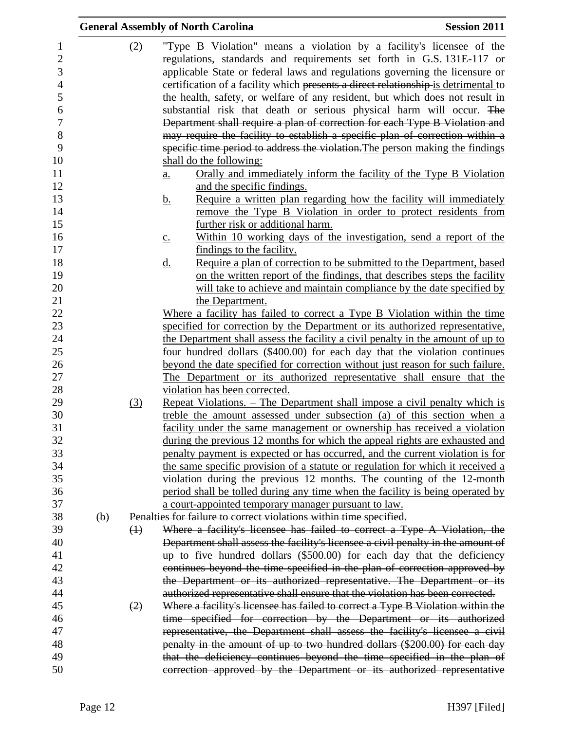|                                |                           |                   | <b>General Assembly of North Carolina</b>                                                                                                               | <b>Session 2011</b> |
|--------------------------------|---------------------------|-------------------|---------------------------------------------------------------------------------------------------------------------------------------------------------|---------------------|
| $\mathbf{1}$<br>$\overline{c}$ |                           | (2)               | "Type B Violation" means a violation by a facility's licensee of the<br>regulations, standards and requirements set forth in G.S. 131E-117 or           |                     |
| 3                              |                           |                   | applicable State or federal laws and regulations governing the licensure or                                                                             |                     |
| $\overline{4}$                 |                           |                   | certification of a facility which presents a direct relationship-is detrimental to                                                                      |                     |
| 5                              |                           |                   | the health, safety, or welfare of any resident, but which does not result in                                                                            |                     |
| 6                              |                           |                   | substantial risk that death or serious physical harm will occur. The                                                                                    |                     |
| $\overline{7}$                 |                           |                   | Department shall require a plan of correction for each Type B Violation and                                                                             |                     |
| 8                              |                           |                   | may require the facility to establish a specific plan of correction within a                                                                            |                     |
| 9                              |                           |                   | specific time period to address the violation. The person making the findings                                                                           |                     |
| 10<br>11                       |                           |                   | shall do the following:                                                                                                                                 |                     |
| 12                             |                           |                   | Orally and immediately inform the facility of the Type B Violation<br>a.<br>and the specific findings.                                                  |                     |
| 13                             |                           |                   | Require a written plan regarding how the facility will immediately<br><u>b.</u>                                                                         |                     |
| 14                             |                           |                   | remove the Type B Violation in order to protect residents from                                                                                          |                     |
| 15                             |                           |                   | further risk or additional harm.                                                                                                                        |                     |
| 16                             |                           |                   | Within 10 working days of the investigation, send a report of the<br>$\underline{c}$ .                                                                  |                     |
| 17                             |                           |                   | findings to the facility.                                                                                                                               |                     |
| 18                             |                           |                   | Require a plan of correction to be submitted to the Department, based<br><u>d.</u>                                                                      |                     |
| 19                             |                           |                   | on the written report of the findings, that describes steps the facility                                                                                |                     |
| 20<br>21                       |                           |                   | will take to achieve and maintain compliance by the date specified by                                                                                   |                     |
|                                |                           |                   | the Department.                                                                                                                                         |                     |
| 22                             |                           |                   | Where a facility has failed to correct a Type B Violation within the time                                                                               |                     |
| 23                             |                           |                   | specified for correction by the Department or its authorized representative,                                                                            |                     |
| 24                             |                           |                   | the Department shall assess the facility a civil penalty in the amount of up to                                                                         |                     |
| 25                             |                           |                   | four hundred dollars (\$400.00) for each day that the violation continues                                                                               |                     |
| 26                             |                           |                   | beyond the date specified for correction without just reason for such failure.                                                                          |                     |
| 27<br>28                       |                           |                   | The Department or its authorized representative shall ensure that the                                                                                   |                     |
| 29                             |                           |                   | violation has been corrected.                                                                                                                           |                     |
| 30                             |                           | (3)               | Repeat Violations. – The Department shall impose a civil penalty which is<br>treble the amount assessed under subsection (a) of this section when a     |                     |
| 31                             |                           |                   |                                                                                                                                                         |                     |
| 32                             |                           |                   | facility under the same management or ownership has received a violation<br>during the previous 12 months for which the appeal rights are exhausted and |                     |
|                                |                           |                   | penalty payment is expected or has occurred, and the current violation is for                                                                           |                     |
|                                |                           |                   | the same specific provision of a statute or regulation for which it received a                                                                          |                     |
| 34<br>35                       |                           |                   | violation during the previous 12 months. The counting of the 12-month                                                                                   |                     |
|                                |                           |                   | period shall be tolled during any time when the facility is being operated by                                                                           |                     |
|                                |                           |                   | a court-appointed temporary manager pursuant to law.                                                                                                    |                     |
| 37<br>38                       | $\left(\mathbf{b}\right)$ |                   | Penalties for failure to correct violations within time specified.                                                                                      |                     |
|                                |                           | $\leftrightarrow$ | Where a facility's licensee has failed to correct a Type A Violation, the                                                                               |                     |
|                                |                           |                   | Department shall assess the facility's licensee a civil penalty in the amount of                                                                        |                     |
| 40                             |                           |                   | up to five hundred dollars (\$500.00) for each day that the deficiency                                                                                  |                     |
| 41<br>42                       |                           |                   | continues beyond the time specified in the plan of correction approved by                                                                               |                     |
| 43                             |                           |                   | the Department or its authorized representative. The Department or its                                                                                  |                     |
| 44                             |                           |                   | authorized representative shall ensure that the violation has been corrected.                                                                           |                     |
| 45                             |                           | (2)               | Where a facility's licensee has failed to correct a Type B Violation within the                                                                         |                     |
| 46                             |                           |                   | time specified for correction by the Department or its authorized                                                                                       |                     |
| 47                             |                           |                   | representative, the Department shall assess the facility's licensee a civil                                                                             |                     |
| 48                             |                           |                   | penalty in the amount of up to two hundred dollars (\$200.00) for each day                                                                              |                     |
| 49                             |                           |                   | that the deficiency continues beyond the time specified in the plan of                                                                                  |                     |
| 50                             |                           |                   | correction approved by the Department or its authorized representative                                                                                  |                     |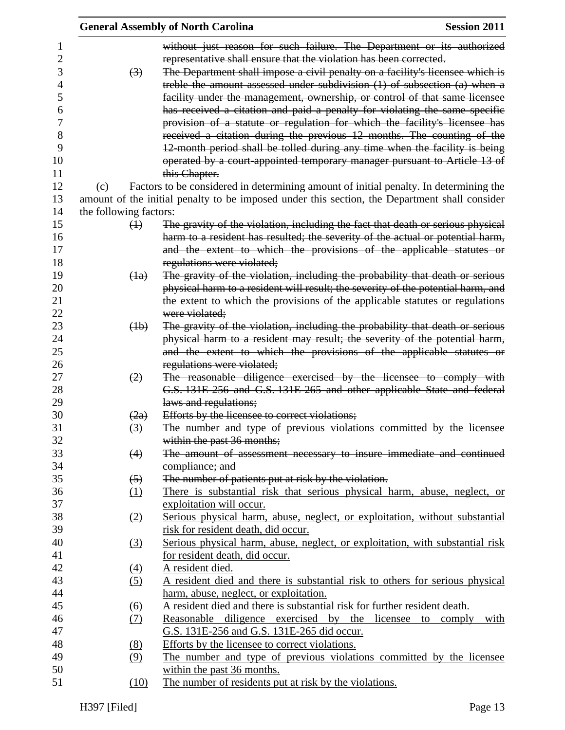|                            | <b>General Assembly of North Carolina</b>                                                                                                                | <b>Session 2011</b> |
|----------------------------|----------------------------------------------------------------------------------------------------------------------------------------------------------|---------------------|
|                            | without just reason for such failure. The Department or its authorized                                                                                   |                     |
|                            | representative shall ensure that the violation has been corrected.<br>The Department shall impose a civil penalty on a facility's licensee which is      |                     |
| $\left(3\right)$           |                                                                                                                                                          |                     |
|                            | treble the amount assessed under subdivision $(1)$ of subsection $(a)$ when a                                                                            |                     |
|                            | facility under the management, ownership, or control of that same licensee                                                                               |                     |
|                            | has received a citation and paid a penalty for violating the same specific<br>provision of a statute or regulation for which the facility's licensee has |                     |
|                            | received a citation during the previous 12 months. The counting of the                                                                                   |                     |
|                            | 12-month period shall be tolled during any time when the facility is being                                                                               |                     |
|                            | operated by a court-appointed temporary manager pursuant to Article 13 of                                                                                |                     |
|                            | this Chapter.                                                                                                                                            |                     |
| (c)                        | Factors to be considered in determining amount of initial penalty. In determining the                                                                    |                     |
|                            | amount of the initial penalty to be imposed under this section, the Department shall consider                                                            |                     |
| the following factors:     |                                                                                                                                                          |                     |
| $\leftrightarrow$          | The gravity of the violation, including the fact that death or serious physical                                                                          |                     |
|                            | harm to a resident has resulted; the severity of the actual or potential harm,                                                                           |                     |
|                            | and the extent to which the provisions of the applicable statutes or                                                                                     |                     |
|                            | regulations were violated;                                                                                                                               |                     |
| $\left(\frac{1}{a}\right)$ | The gravity of the violation, including the probability that death or serious                                                                            |                     |
|                            | physical harm to a resident will result; the severity of the potential harm, and                                                                         |                     |
|                            | the extent to which the provisions of the applicable statutes or regulations                                                                             |                     |
|                            | were violated:                                                                                                                                           |                     |
| (4b)                       | The gravity of the violation, including the probability that death or serious                                                                            |                     |
|                            | physical harm to a resident may result; the severity of the potential harm,                                                                              |                     |
|                            | and the extent to which the provisions of the applicable statutes or                                                                                     |                     |
|                            | regulations were violated;                                                                                                                               |                     |
| (2)                        | The reasonable diligence exercised by the licensee to comply with                                                                                        |                     |
|                            | G.S. 131E-256 and G.S. 131E-265 and other applicable State and federal                                                                                   |                     |
|                            | laws and regulations;                                                                                                                                    |                     |
| (2a)                       | Efforts by the licensee to correct violations;                                                                                                           |                     |
| $\left(3\right)$           | The number and type of previous violations committed by the licensee                                                                                     |                     |
|                            | within the past 36 months;<br>The amount of assessment necessary to insure immediate and continued                                                       |                     |
| (4)                        | compliance; and                                                                                                                                          |                     |
| $\left(5\right)$           | The number of patients put at risk by the violation.                                                                                                     |                     |
| (1)                        | There is substantial risk that serious physical harm, abuse, neglect, or                                                                                 |                     |
|                            | exploitation will occur.                                                                                                                                 |                     |
| <u>(2)</u>                 | Serious physical harm, abuse, neglect, or exploitation, without substantial                                                                              |                     |
|                            | risk for resident death, did occur.                                                                                                                      |                     |
| (3)                        | Serious physical harm, abuse, neglect, or exploitation, with substantial risk                                                                            |                     |
|                            | for resident death, did occur.                                                                                                                           |                     |
| <u>(4)</u>                 | A resident died.                                                                                                                                         |                     |
| (5)                        | A resident died and there is substantial risk to others for serious physical                                                                             |                     |
|                            | harm, abuse, neglect, or exploitation.                                                                                                                   |                     |
| <u>(6)</u>                 | A resident died and there is substantial risk for further resident death.                                                                                |                     |
| <u>(7)</u>                 | Reasonable diligence exercised by the licensee to comply                                                                                                 | with                |
|                            | G.S. 131E-256 and G.S. 131E-265 did occur.                                                                                                               |                     |
| <u>(8)</u>                 | Efforts by the licensee to correct violations.                                                                                                           |                     |
| (9)                        | The number and type of previous violations committed by the licensee                                                                                     |                     |
|                            | within the past 36 months.                                                                                                                               |                     |
| (10)                       | The number of residents put at risk by the violations.                                                                                                   |                     |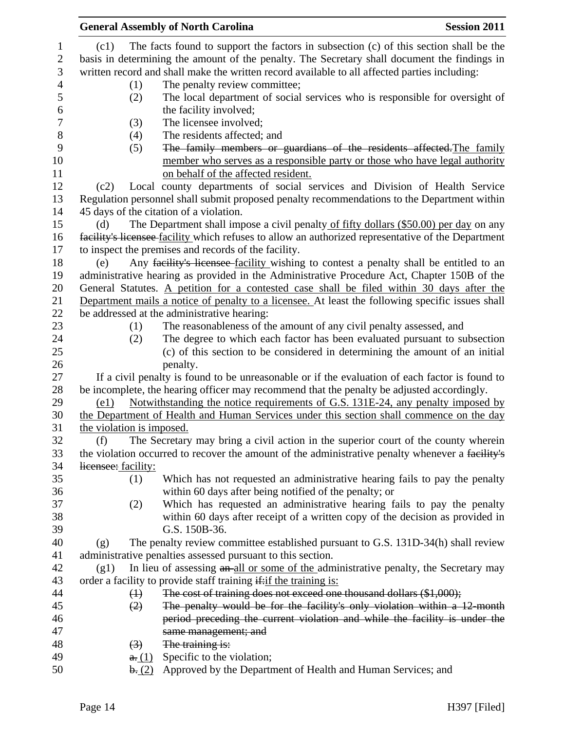|                |                           | <b>General Assembly of North Carolina</b>                                                          | <b>Session 2011</b> |
|----------------|---------------------------|----------------------------------------------------------------------------------------------------|---------------------|
| $\mathbf{1}$   | (c1)                      | The facts found to support the factors in subsection (c) of this section shall be the              |                     |
| $\sqrt{2}$     |                           | basis in determining the amount of the penalty. The Secretary shall document the findings in       |                     |
| $\mathfrak{Z}$ |                           | written record and shall make the written record available to all affected parties including:      |                     |
| $\overline{4}$ | (1)                       | The penalty review committee;                                                                      |                     |
| $\mathfrak{S}$ | (2)                       | The local department of social services who is responsible for oversight of                        |                     |
| 6              |                           |                                                                                                    |                     |
|                |                           | the facility involved;                                                                             |                     |
|                | (3)                       | The licensee involved;                                                                             |                     |
|                | (4)                       | The residents affected; and                                                                        |                     |
|                | (5)                       | The family members or guardians of the residents affected. The family                              |                     |
|                |                           | member who serves as a responsible party or those who have legal authority                         |                     |
|                |                           | on behalf of the affected resident.                                                                |                     |
|                | (c2)                      | Local county departments of social services and Division of Health Service                         |                     |
|                |                           | Regulation personnel shall submit proposed penalty recommendations to the Department within        |                     |
|                |                           | 45 days of the citation of a violation.                                                            |                     |
|                | (d)                       | The Department shall impose a civil penalty of fifty dollars (\$50.00) per day on any              |                     |
|                |                           | facility's licensee facility which refuses to allow an authorized representative of the Department |                     |
|                |                           | to inspect the premises and records of the facility.                                               |                     |
|                | (e)                       | Any facility's licensee facility wishing to contest a penalty shall be entitled to an              |                     |
|                |                           | administrative hearing as provided in the Administrative Procedure Act, Chapter 150B of the        |                     |
|                |                           | General Statutes. A petition for a contested case shall be filed within 30 days after the          |                     |
|                |                           | Department mails a notice of penalty to a licensee. At least the following specific issues shall   |                     |
|                |                           | be addressed at the administrative hearing:                                                        |                     |
|                | (1)                       | The reasonableness of the amount of any civil penalty assessed, and                                |                     |
|                | (2)                       | The degree to which each factor has been evaluated pursuant to subsection                          |                     |
|                |                           | (c) of this section to be considered in determining the amount of an initial                       |                     |
|                |                           | penalty.                                                                                           |                     |
|                |                           | If a civil penalty is found to be unreasonable or if the evaluation of each factor is found to     |                     |
|                |                           | be incomplete, the hearing officer may recommend that the penalty be adjusted accordingly.         |                     |
|                | (e1)                      | Notwithstanding the notice requirements of G.S. 131E-24, any penalty imposed by                    |                     |
|                |                           | the Department of Health and Human Services under this section shall commence on the day           |                     |
|                | the violation is imposed. |                                                                                                    |                     |
|                | (f)                       | The Secretary may bring a civil action in the superior court of the county wherein                 |                     |
|                |                           | the violation occurred to recover the amount of the administrative penalty whenever a facility's   |                     |
|                | licensee: facility:       |                                                                                                    |                     |
|                | (1)                       | Which has not requested an administrative hearing fails to pay the penalty                         |                     |
|                |                           | within 60 days after being notified of the penalty; or                                             |                     |
|                | (2)                       | Which has requested an administrative hearing fails to pay the penalty                             |                     |
|                |                           | within 60 days after receipt of a written copy of the decision as provided in                      |                     |
|                |                           | G.S. 150B-36.                                                                                      |                     |
|                | (g)                       | The penalty review committee established pursuant to G.S. 131D-34(h) shall review                  |                     |
|                |                           | administrative penalties assessed pursuant to this section.                                        |                     |
|                | (g1)                      | In lieu of assessing an all or some of the administrative penalty, the Secretary may               |                     |
|                |                           | order a facility to provide staff training if: if the training is:                                 |                     |
|                | $\leftrightarrow$         | The cost of training does not exceed one thousand dollars (\$1,000);                               |                     |
|                | (2)                       | The penalty would be for the facility's only violation within a 12-month                           |                     |
|                |                           | period preceding the current violation and while the facility is under the                         |                     |
|                |                           | same management; and                                                                               |                     |
|                | $\left(3\right)$          | The training is:                                                                                   |                     |
|                | a(1)                      | Specific to the violation;                                                                         |                     |
|                | $\mathbf{b}$ . (2)        | Approved by the Department of Health and Human Services; and                                       |                     |